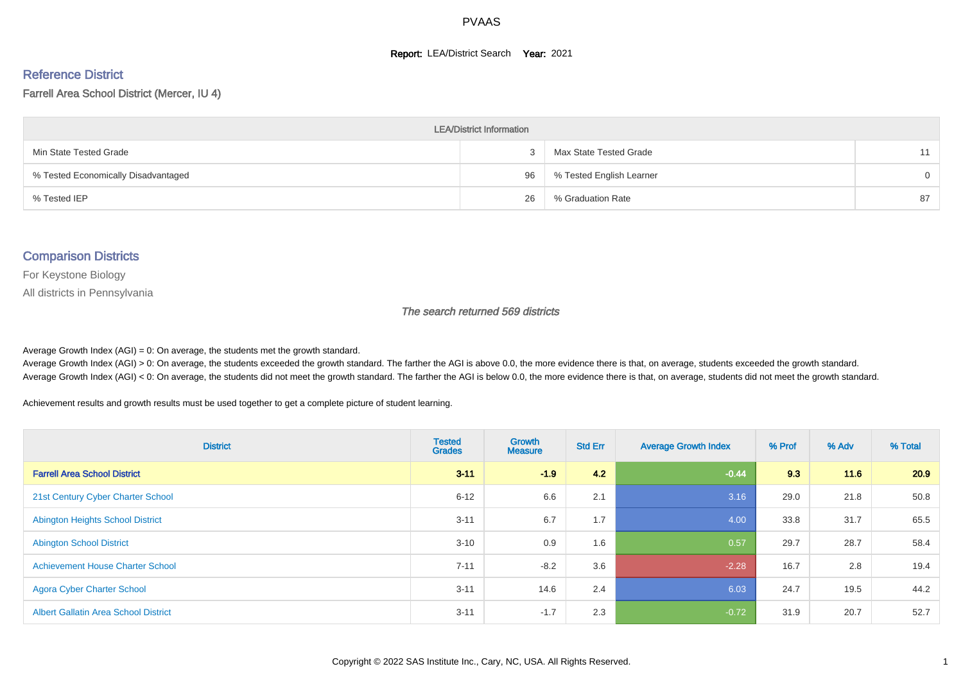#### **Report: LEA/District Search Year: 2021**

# Reference District

#### Farrell Area School District (Mercer, IU 4)

| <b>LEA/District Information</b>     |    |                          |          |  |  |  |  |  |  |  |
|-------------------------------------|----|--------------------------|----------|--|--|--|--|--|--|--|
| Min State Tested Grade              |    | Max State Tested Grade   | 11       |  |  |  |  |  |  |  |
| % Tested Economically Disadvantaged | 96 | % Tested English Learner | $\Omega$ |  |  |  |  |  |  |  |
| % Tested IEP                        | 26 | % Graduation Rate        | 87       |  |  |  |  |  |  |  |

#### Comparison Districts

For Keystone Biology

All districts in Pennsylvania

The search returned 569 districts

Average Growth Index  $(AGI) = 0$ : On average, the students met the growth standard.

Average Growth Index (AGI) > 0: On average, the students exceeded the growth standard. The farther the AGI is above 0.0, the more evidence there is that, on average, students exceeded the growth standard. Average Growth Index (AGI) < 0: On average, the students did not meet the growth standard. The farther the AGI is below 0.0, the more evidence there is that, on average, students did not meet the growth standard.

Achievement results and growth results must be used together to get a complete picture of student learning.

| <b>District</b>                             | <b>Tested</b><br><b>Grades</b> | <b>Growth</b><br><b>Measure</b> | <b>Std Err</b> | <b>Average Growth Index</b> | % Prof | % Adv | % Total |
|---------------------------------------------|--------------------------------|---------------------------------|----------------|-----------------------------|--------|-------|---------|
| <b>Farrell Area School District</b>         | $3 - 11$                       | $-1.9$                          | 4.2            | $-0.44$                     | 9.3    | 11.6  | 20.9    |
| 21st Century Cyber Charter School           | $6 - 12$                       | 6.6                             | 2.1            | 3.16                        | 29.0   | 21.8  | 50.8    |
| <b>Abington Heights School District</b>     | $3 - 11$                       | 6.7                             | 1.7            | 4.00                        | 33.8   | 31.7  | 65.5    |
| <b>Abington School District</b>             | $3 - 10$                       | 0.9                             | 1.6            | 0.57                        | 29.7   | 28.7  | 58.4    |
| <b>Achievement House Charter School</b>     | $7 - 11$                       | $-8.2$                          | 3.6            | $-2.28$                     | 16.7   | 2.8   | 19.4    |
| <b>Agora Cyber Charter School</b>           | $3 - 11$                       | 14.6                            | 2.4            | 6.03                        | 24.7   | 19.5  | 44.2    |
| <b>Albert Gallatin Area School District</b> | $3 - 11$                       | $-1.7$                          | 2.3            | $-0.72$                     | 31.9   | 20.7  | 52.7    |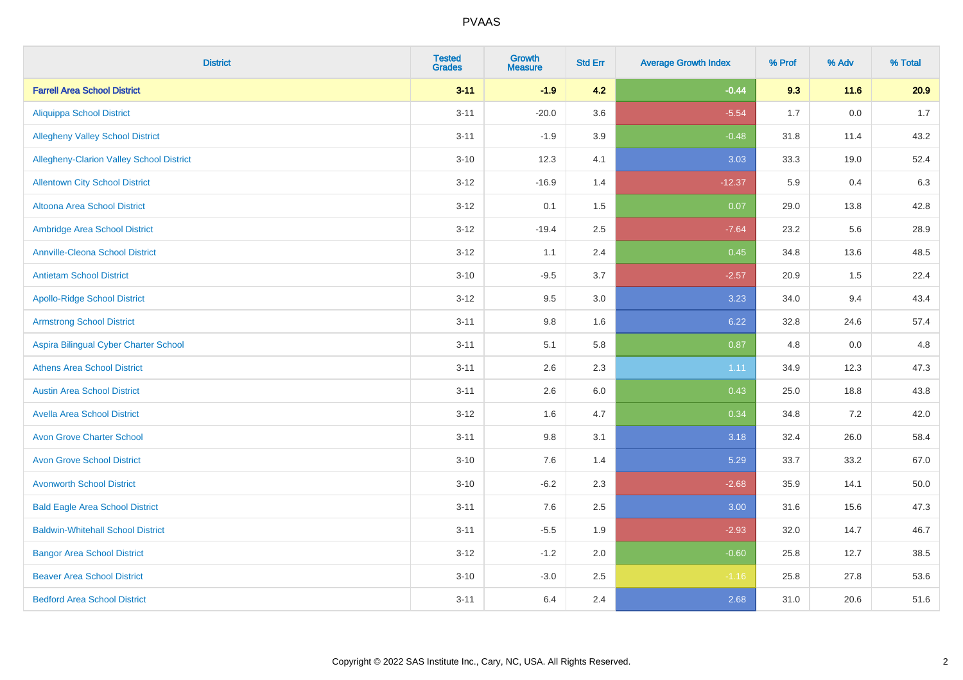| <b>District</b>                          | <b>Tested</b><br><b>Grades</b> | Growth<br><b>Measure</b> | <b>Std Err</b> | <b>Average Growth Index</b> | % Prof | % Adv   | % Total |
|------------------------------------------|--------------------------------|--------------------------|----------------|-----------------------------|--------|---------|---------|
| <b>Farrell Area School District</b>      | $3 - 11$                       | $-1.9$                   | 4.2            | $-0.44$                     | 9.3    | 11.6    | 20.9    |
| <b>Aliquippa School District</b>         | $3 - 11$                       | $-20.0$                  | 3.6            | $-5.54$                     | 1.7    | $0.0\,$ | $1.7$   |
| <b>Allegheny Valley School District</b>  | $3 - 11$                       | $-1.9$                   | 3.9            | $-0.48$                     | 31.8   | 11.4    | 43.2    |
| Allegheny-Clarion Valley School District | $3 - 10$                       | 12.3                     | 4.1            | 3.03                        | 33.3   | 19.0    | 52.4    |
| <b>Allentown City School District</b>    | $3 - 12$                       | $-16.9$                  | 1.4            | $-12.37$                    | 5.9    | 0.4     | 6.3     |
| <b>Altoona Area School District</b>      | $3 - 12$                       | 0.1                      | 1.5            | 0.07                        | 29.0   | 13.8    | 42.8    |
| Ambridge Area School District            | $3-12$                         | $-19.4$                  | 2.5            | $-7.64$                     | 23.2   | 5.6     | 28.9    |
| <b>Annville-Cleona School District</b>   | $3-12$                         | 1.1                      | 2.4            | 0.45                        | 34.8   | 13.6    | 48.5    |
| <b>Antietam School District</b>          | $3 - 10$                       | $-9.5$                   | 3.7            | $-2.57$                     | 20.9   | 1.5     | 22.4    |
| <b>Apollo-Ridge School District</b>      | $3 - 12$                       | 9.5                      | 3.0            | 3.23                        | 34.0   | 9.4     | 43.4    |
| <b>Armstrong School District</b>         | $3 - 11$                       | $9.8\,$                  | 1.6            | 6.22                        | 32.8   | 24.6    | 57.4    |
| Aspira Bilingual Cyber Charter School    | $3 - 11$                       | 5.1                      | 5.8            | 0.87                        | 4.8    | 0.0     | 4.8     |
| <b>Athens Area School District</b>       | $3 - 11$                       | 2.6                      | 2.3            | 1.11                        | 34.9   | 12.3    | 47.3    |
| <b>Austin Area School District</b>       | $3 - 11$                       | 2.6                      | 6.0            | 0.43                        | 25.0   | 18.8    | 43.8    |
| <b>Avella Area School District</b>       | $3 - 12$                       | 1.6                      | 4.7            | 0.34                        | 34.8   | 7.2     | 42.0    |
| <b>Avon Grove Charter School</b>         | $3 - 11$                       | 9.8                      | 3.1            | 3.18                        | 32.4   | 26.0    | 58.4    |
| <b>Avon Grove School District</b>        | $3 - 10$                       | 7.6                      | 1.4            | 5.29                        | 33.7   | 33.2    | 67.0    |
| <b>Avonworth School District</b>         | $3 - 10$                       | $-6.2$                   | 2.3            | $-2.68$                     | 35.9   | 14.1    | 50.0    |
| <b>Bald Eagle Area School District</b>   | $3 - 11$                       | 7.6                      | 2.5            | 3.00                        | 31.6   | 15.6    | 47.3    |
| <b>Baldwin-Whitehall School District</b> | $3 - 11$                       | $-5.5$                   | 1.9            | $-2.93$                     | 32.0   | 14.7    | 46.7    |
| <b>Bangor Area School District</b>       | $3 - 12$                       | $-1.2$                   | 2.0            | $-0.60$                     | 25.8   | 12.7    | 38.5    |
| <b>Beaver Area School District</b>       | $3 - 10$                       | $-3.0$                   | 2.5            | $-1.16$                     | 25.8   | 27.8    | 53.6    |
| <b>Bedford Area School District</b>      | $3 - 11$                       | 6.4                      | 2.4            | 2.68                        | 31.0   | 20.6    | 51.6    |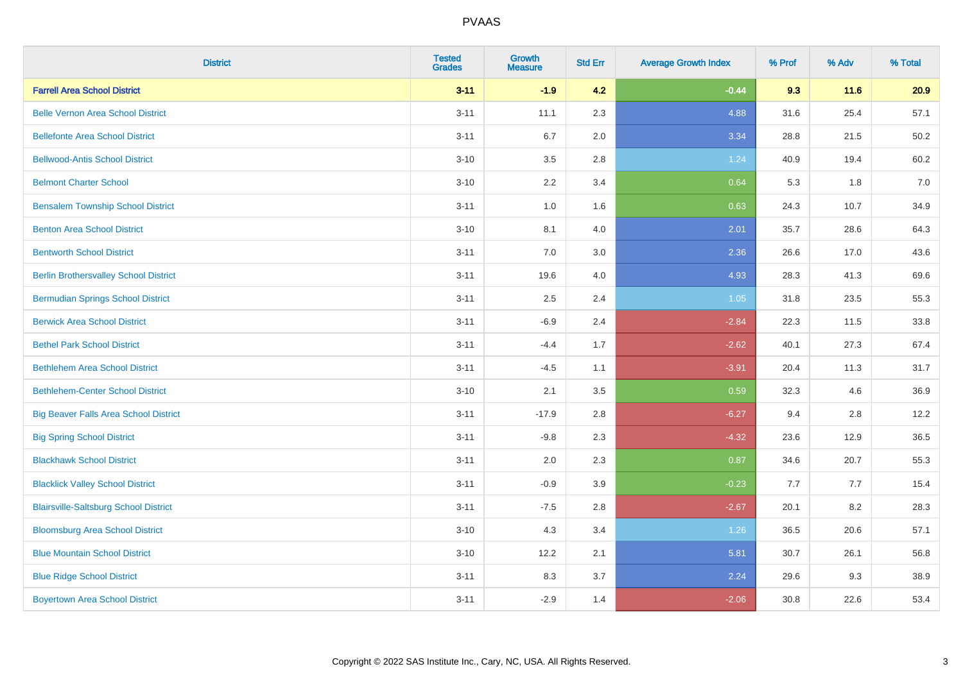| <b>District</b>                              | <b>Tested</b><br><b>Grades</b> | <b>Growth</b><br><b>Measure</b> | <b>Std Err</b> | <b>Average Growth Index</b> | % Prof | % Adv | % Total |
|----------------------------------------------|--------------------------------|---------------------------------|----------------|-----------------------------|--------|-------|---------|
| <b>Farrell Area School District</b>          | $3 - 11$                       | $-1.9$                          | 4.2            | $-0.44$                     | 9.3    | 11.6  | 20.9    |
| <b>Belle Vernon Area School District</b>     | $3 - 11$                       | 11.1                            | 2.3            | 4.88                        | 31.6   | 25.4  | 57.1    |
| <b>Bellefonte Area School District</b>       | $3 - 11$                       | 6.7                             | 2.0            | 3.34                        | 28.8   | 21.5  | 50.2    |
| <b>Bellwood-Antis School District</b>        | $3 - 10$                       | 3.5                             | 2.8            | 1.24                        | 40.9   | 19.4  | 60.2    |
| <b>Belmont Charter School</b>                | $3 - 10$                       | 2.2                             | 3.4            | 0.64                        | 5.3    | 1.8   | 7.0     |
| <b>Bensalem Township School District</b>     | $3 - 11$                       | $1.0\,$                         | 1.6            | 0.63                        | 24.3   | 10.7  | 34.9    |
| <b>Benton Area School District</b>           | $3 - 10$                       | 8.1                             | 4.0            | 2.01                        | 35.7   | 28.6  | 64.3    |
| <b>Bentworth School District</b>             | $3 - 11$                       | 7.0                             | 3.0            | 2.36                        | 26.6   | 17.0  | 43.6    |
| <b>Berlin Brothersvalley School District</b> | $3 - 11$                       | 19.6                            | 4.0            | 4.93                        | 28.3   | 41.3  | 69.6    |
| <b>Bermudian Springs School District</b>     | $3 - 11$                       | 2.5                             | 2.4            | 1.05                        | 31.8   | 23.5  | 55.3    |
| <b>Berwick Area School District</b>          | $3 - 11$                       | $-6.9$                          | 2.4            | $-2.84$                     | 22.3   | 11.5  | 33.8    |
| <b>Bethel Park School District</b>           | $3 - 11$                       | $-4.4$                          | 1.7            | $-2.62$                     | 40.1   | 27.3  | 67.4    |
| <b>Bethlehem Area School District</b>        | $3 - 11$                       | $-4.5$                          | 1.1            | $-3.91$                     | 20.4   | 11.3  | 31.7    |
| <b>Bethlehem-Center School District</b>      | $3 - 10$                       | 2.1                             | 3.5            | 0.59                        | 32.3   | 4.6   | 36.9    |
| <b>Big Beaver Falls Area School District</b> | $3 - 11$                       | $-17.9$                         | 2.8            | $-6.27$                     | 9.4    | 2.8   | 12.2    |
| <b>Big Spring School District</b>            | $3 - 11$                       | $-9.8$                          | 2.3            | $-4.32$                     | 23.6   | 12.9  | 36.5    |
| <b>Blackhawk School District</b>             | $3 - 11$                       | 2.0                             | 2.3            | 0.87                        | 34.6   | 20.7  | 55.3    |
| <b>Blacklick Valley School District</b>      | $3 - 11$                       | $-0.9$                          | 3.9            | $-0.23$                     | 7.7    | 7.7   | 15.4    |
| <b>Blairsville-Saltsburg School District</b> | $3 - 11$                       | $-7.5$                          | 2.8            | $-2.67$                     | 20.1   | 8.2   | 28.3    |
| <b>Bloomsburg Area School District</b>       | $3 - 10$                       | 4.3                             | 3.4            | 1.26                        | 36.5   | 20.6  | 57.1    |
| <b>Blue Mountain School District</b>         | $3 - 10$                       | 12.2                            | 2.1            | 5.81                        | 30.7   | 26.1  | 56.8    |
| <b>Blue Ridge School District</b>            | $3 - 11$                       | 8.3                             | 3.7            | 2.24                        | 29.6   | 9.3   | 38.9    |
| <b>Boyertown Area School District</b>        | $3 - 11$                       | $-2.9$                          | 1.4            | $-2.06$                     | 30.8   | 22.6  | 53.4    |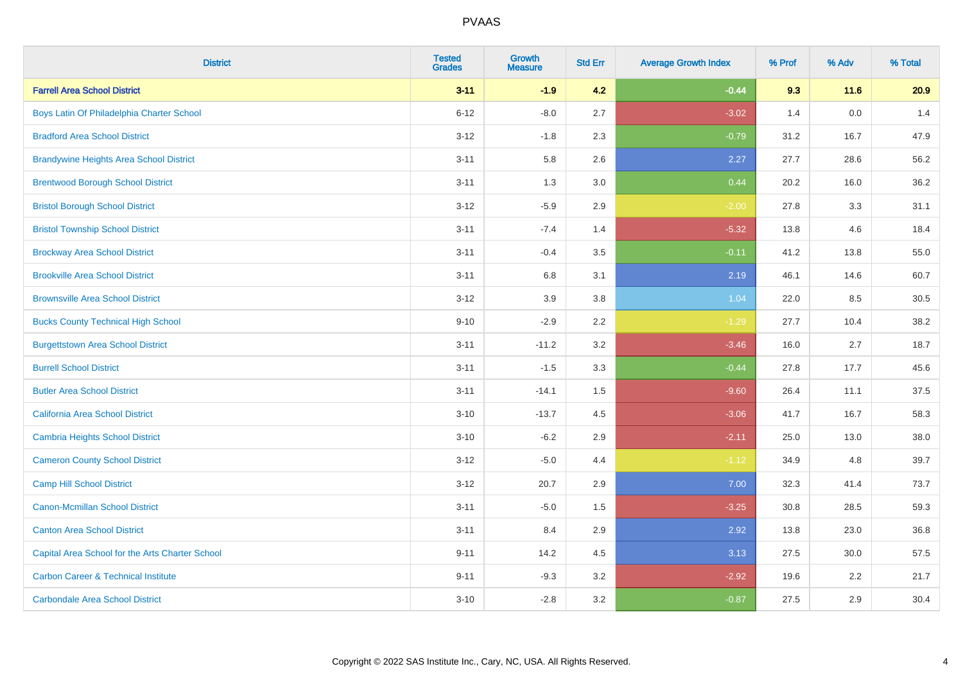| <b>District</b>                                 | <b>Tested</b><br><b>Grades</b> | <b>Growth</b><br><b>Measure</b> | <b>Std Err</b> | <b>Average Growth Index</b> | % Prof | % Adv | % Total |
|-------------------------------------------------|--------------------------------|---------------------------------|----------------|-----------------------------|--------|-------|---------|
| <b>Farrell Area School District</b>             | $3 - 11$                       | $-1.9$                          | 4.2            | $-0.44$                     | 9.3    | 11.6  | 20.9    |
| Boys Latin Of Philadelphia Charter School       | $6 - 12$                       | $-8.0$                          | 2.7            | $-3.02$                     | 1.4    | 0.0   | 1.4     |
| <b>Bradford Area School District</b>            | $3 - 12$                       | $-1.8$                          | 2.3            | $-0.79$                     | 31.2   | 16.7  | 47.9    |
| <b>Brandywine Heights Area School District</b>  | $3 - 11$                       | 5.8                             | 2.6            | 2.27                        | 27.7   | 28.6  | 56.2    |
| <b>Brentwood Borough School District</b>        | $3 - 11$                       | 1.3                             | 3.0            | 0.44                        | 20.2   | 16.0  | 36.2    |
| <b>Bristol Borough School District</b>          | $3 - 12$                       | $-5.9$                          | 2.9            | $-2.00$                     | 27.8   | 3.3   | 31.1    |
| <b>Bristol Township School District</b>         | $3 - 11$                       | $-7.4$                          | 1.4            | $-5.32$                     | 13.8   | 4.6   | 18.4    |
| <b>Brockway Area School District</b>            | $3 - 11$                       | $-0.4$                          | 3.5            | $-0.11$                     | 41.2   | 13.8  | 55.0    |
| <b>Brookville Area School District</b>          | $3 - 11$                       | 6.8                             | 3.1            | 2.19                        | 46.1   | 14.6  | 60.7    |
| <b>Brownsville Area School District</b>         | $3 - 12$                       | 3.9                             | 3.8            | 1.04                        | 22.0   | 8.5   | 30.5    |
| <b>Bucks County Technical High School</b>       | $9 - 10$                       | $-2.9$                          | 2.2            | $-1.29$                     | 27.7   | 10.4  | 38.2    |
| <b>Burgettstown Area School District</b>        | $3 - 11$                       | $-11.2$                         | 3.2            | $-3.46$                     | 16.0   | 2.7   | 18.7    |
| <b>Burrell School District</b>                  | $3 - 11$                       | $-1.5$                          | 3.3            | $-0.44$                     | 27.8   | 17.7  | 45.6    |
| <b>Butler Area School District</b>              | $3 - 11$                       | $-14.1$                         | 1.5            | $-9.60$                     | 26.4   | 11.1  | 37.5    |
| California Area School District                 | $3 - 10$                       | $-13.7$                         | 4.5            | $-3.06$                     | 41.7   | 16.7  | 58.3    |
| <b>Cambria Heights School District</b>          | $3 - 10$                       | $-6.2$                          | 2.9            | $-2.11$                     | 25.0   | 13.0  | 38.0    |
| <b>Cameron County School District</b>           | $3 - 12$                       | $-5.0$                          | 4.4            | $-1.12$                     | 34.9   | 4.8   | 39.7    |
| <b>Camp Hill School District</b>                | $3 - 12$                       | 20.7                            | 2.9            | 7.00                        | 32.3   | 41.4  | 73.7    |
| <b>Canon-Mcmillan School District</b>           | $3 - 11$                       | $-5.0$                          | 1.5            | $-3.25$                     | 30.8   | 28.5  | 59.3    |
| <b>Canton Area School District</b>              | $3 - 11$                       | 8.4                             | 2.9            | 2.92                        | 13.8   | 23.0  | 36.8    |
| Capital Area School for the Arts Charter School | $9 - 11$                       | 14.2                            | 4.5            | 3.13                        | 27.5   | 30.0  | 57.5    |
| <b>Carbon Career &amp; Technical Institute</b>  | $9 - 11$                       | $-9.3$                          | 3.2            | $-2.92$                     | 19.6   | 2.2   | 21.7    |
| <b>Carbondale Area School District</b>          | $3 - 10$                       | $-2.8$                          | 3.2            | $-0.87$                     | 27.5   | 2.9   | 30.4    |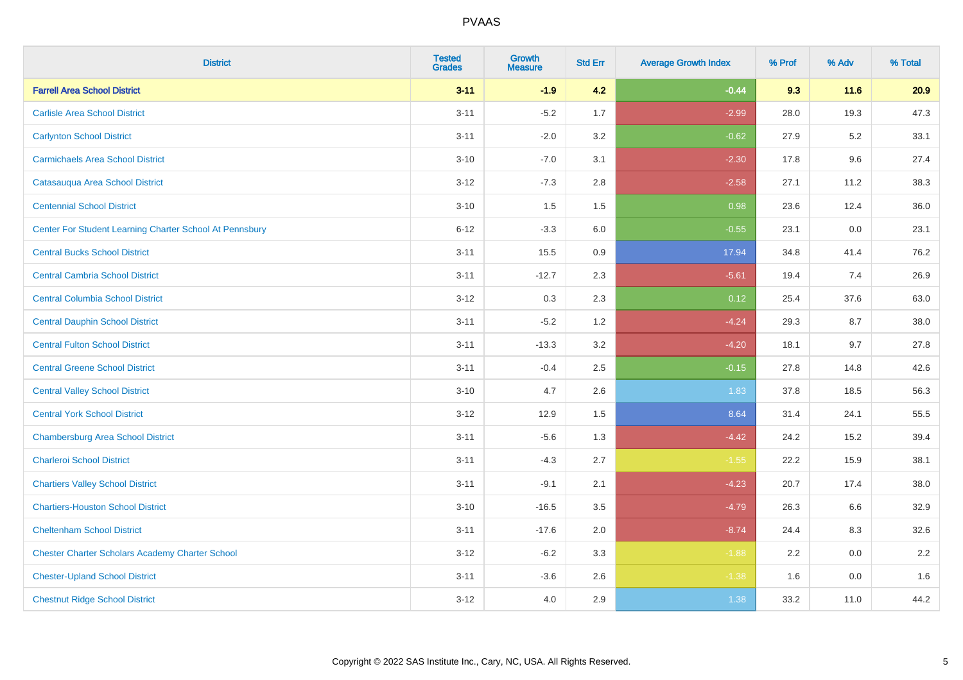| <b>District</b>                                         | <b>Tested</b><br><b>Grades</b> | <b>Growth</b><br><b>Measure</b> | <b>Std Err</b> | <b>Average Growth Index</b> | % Prof | % Adv | % Total |
|---------------------------------------------------------|--------------------------------|---------------------------------|----------------|-----------------------------|--------|-------|---------|
| <b>Farrell Area School District</b>                     | $3 - 11$                       | $-1.9$                          | 4.2            | $-0.44$                     | 9.3    | 11.6  | 20.9    |
| <b>Carlisle Area School District</b>                    | $3 - 11$                       | $-5.2$                          | 1.7            | $-2.99$                     | 28.0   | 19.3  | 47.3    |
| <b>Carlynton School District</b>                        | $3 - 11$                       | $-2.0$                          | 3.2            | $-0.62$                     | 27.9   | 5.2   | 33.1    |
| <b>Carmichaels Area School District</b>                 | $3 - 10$                       | $-7.0$                          | 3.1            | $-2.30$                     | 17.8   | 9.6   | 27.4    |
| Catasauqua Area School District                         | $3 - 12$                       | $-7.3$                          | 2.8            | $-2.58$                     | 27.1   | 11.2  | 38.3    |
| <b>Centennial School District</b>                       | $3 - 10$                       | 1.5                             | 1.5            | 0.98                        | 23.6   | 12.4  | 36.0    |
| Center For Student Learning Charter School At Pennsbury | $6 - 12$                       | $-3.3$                          | 6.0            | $-0.55$                     | 23.1   | 0.0   | 23.1    |
| <b>Central Bucks School District</b>                    | $3 - 11$                       | 15.5                            | 0.9            | 17.94                       | 34.8   | 41.4  | 76.2    |
| <b>Central Cambria School District</b>                  | $3 - 11$                       | $-12.7$                         | 2.3            | $-5.61$                     | 19.4   | 7.4   | 26.9    |
| <b>Central Columbia School District</b>                 | $3-12$                         | 0.3                             | 2.3            | 0.12                        | 25.4   | 37.6  | 63.0    |
| <b>Central Dauphin School District</b>                  | $3 - 11$                       | $-5.2$                          | 1.2            | $-4.24$                     | 29.3   | 8.7   | 38.0    |
| <b>Central Fulton School District</b>                   | $3 - 11$                       | $-13.3$                         | 3.2            | $-4.20$                     | 18.1   | 9.7   | 27.8    |
| <b>Central Greene School District</b>                   | $3 - 11$                       | $-0.4$                          | 2.5            | $-0.15$                     | 27.8   | 14.8  | 42.6    |
| <b>Central Valley School District</b>                   | $3 - 10$                       | 4.7                             | 2.6            | 1.83                        | 37.8   | 18.5  | 56.3    |
| <b>Central York School District</b>                     | $3-12$                         | 12.9                            | 1.5            | 8.64                        | 31.4   | 24.1  | 55.5    |
| <b>Chambersburg Area School District</b>                | $3 - 11$                       | $-5.6$                          | 1.3            | $-4.42$                     | 24.2   | 15.2  | 39.4    |
| <b>Charleroi School District</b>                        | $3 - 11$                       | $-4.3$                          | 2.7            | $-1.55$                     | 22.2   | 15.9  | 38.1    |
| <b>Chartiers Valley School District</b>                 | $3 - 11$                       | $-9.1$                          | 2.1            | $-4.23$                     | 20.7   | 17.4  | 38.0    |
| <b>Chartiers-Houston School District</b>                | $3 - 10$                       | $-16.5$                         | 3.5            | $-4.79$                     | 26.3   | 6.6   | 32.9    |
| <b>Cheltenham School District</b>                       | $3 - 11$                       | $-17.6$                         | 2.0            | $-8.74$                     | 24.4   | 8.3   | 32.6    |
| <b>Chester Charter Scholars Academy Charter School</b>  | $3 - 12$                       | $-6.2$                          | 3.3            | $-1.88$                     | 2.2    | 0.0   | 2.2     |
| <b>Chester-Upland School District</b>                   | $3 - 11$                       | $-3.6$                          | 2.6            | $-1.38$                     | 1.6    | 0.0   | 1.6     |
| <b>Chestnut Ridge School District</b>                   | $3 - 12$                       | 4.0                             | 2.9            | 1.38                        | 33.2   | 11.0  | 44.2    |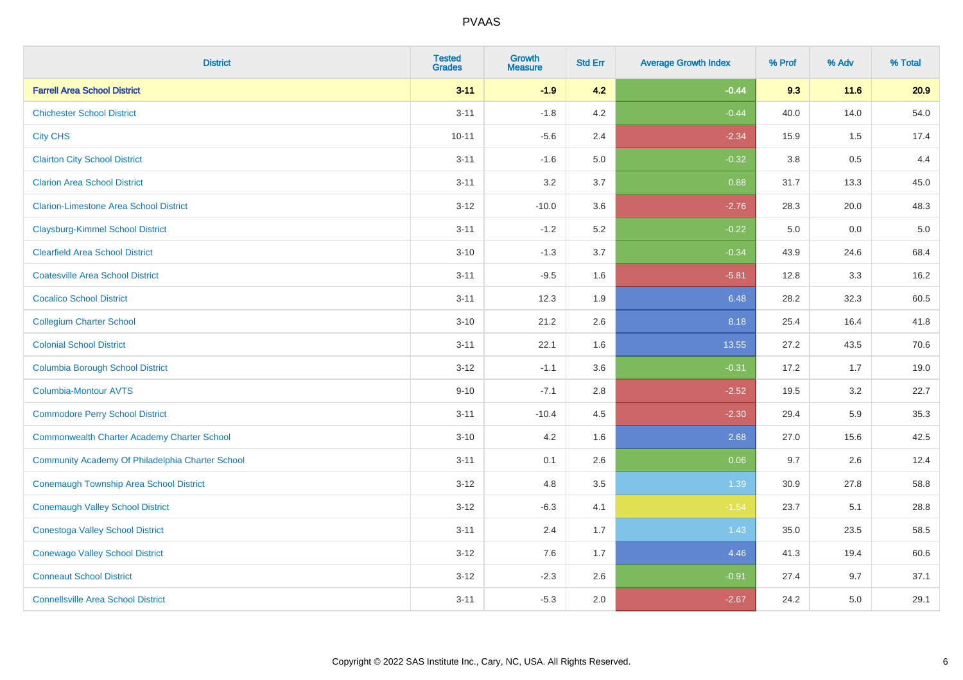| <b>District</b>                                    | <b>Tested</b><br><b>Grades</b> | <b>Growth</b><br><b>Measure</b> | <b>Std Err</b> | <b>Average Growth Index</b> | % Prof | % Adv   | % Total |
|----------------------------------------------------|--------------------------------|---------------------------------|----------------|-----------------------------|--------|---------|---------|
| <b>Farrell Area School District</b>                | $3 - 11$                       | $-1.9$                          | 4.2            | $-0.44$                     | 9.3    | 11.6    | 20.9    |
| <b>Chichester School District</b>                  | $3 - 11$                       | $-1.8$                          | 4.2            | $-0.44$                     | 40.0   | 14.0    | 54.0    |
| <b>City CHS</b>                                    | $10 - 11$                      | $-5.6$                          | 2.4            | $-2.34$                     | 15.9   | 1.5     | 17.4    |
| <b>Clairton City School District</b>               | $3 - 11$                       | $-1.6$                          | $5.0\,$        | $-0.32$                     | 3.8    | $0.5\,$ | 4.4     |
| <b>Clarion Area School District</b>                | $3 - 11$                       | 3.2                             | 3.7            | 0.88                        | 31.7   | 13.3    | 45.0    |
| <b>Clarion-Limestone Area School District</b>      | $3 - 12$                       | $-10.0$                         | 3.6            | $-2.76$                     | 28.3   | 20.0    | 48.3    |
| <b>Claysburg-Kimmel School District</b>            | $3 - 11$                       | $-1.2$                          | 5.2            | $-0.22$                     | 5.0    | 0.0     | $5.0$   |
| <b>Clearfield Area School District</b>             | $3 - 10$                       | $-1.3$                          | 3.7            | $-0.34$                     | 43.9   | 24.6    | 68.4    |
| <b>Coatesville Area School District</b>            | $3 - 11$                       | $-9.5$                          | 1.6            | $-5.81$                     | 12.8   | 3.3     | 16.2    |
| <b>Cocalico School District</b>                    | $3 - 11$                       | 12.3                            | 1.9            | 6.48                        | 28.2   | 32.3    | 60.5    |
| <b>Collegium Charter School</b>                    | $3 - 10$                       | 21.2                            | 2.6            | 8.18                        | 25.4   | 16.4    | 41.8    |
| <b>Colonial School District</b>                    | $3 - 11$                       | 22.1                            | 1.6            | 13.55                       | 27.2   | 43.5    | 70.6    |
| <b>Columbia Borough School District</b>            | $3 - 12$                       | $-1.1$                          | 3.6            | $-0.31$                     | 17.2   | 1.7     | 19.0    |
| <b>Columbia-Montour AVTS</b>                       | $9 - 10$                       | $-7.1$                          | 2.8            | $-2.52$                     | 19.5   | 3.2     | 22.7    |
| <b>Commodore Perry School District</b>             | $3 - 11$                       | $-10.4$                         | 4.5            | $-2.30$                     | 29.4   | 5.9     | 35.3    |
| <b>Commonwealth Charter Academy Charter School</b> | $3 - 10$                       | 4.2                             | 1.6            | 2.68                        | 27.0   | 15.6    | 42.5    |
| Community Academy Of Philadelphia Charter School   | $3 - 11$                       | 0.1                             | 2.6            | 0.06                        | 9.7    | 2.6     | 12.4    |
| <b>Conemaugh Township Area School District</b>     | $3 - 12$                       | 4.8                             | 3.5            | 1.39                        | 30.9   | 27.8    | 58.8    |
| <b>Conemaugh Valley School District</b>            | $3 - 12$                       | $-6.3$                          | 4.1            | $-1.54$                     | 23.7   | 5.1     | 28.8    |
| <b>Conestoga Valley School District</b>            | $3 - 11$                       | 2.4                             | 1.7            | 1.43                        | 35.0   | 23.5    | 58.5    |
| <b>Conewago Valley School District</b>             | $3 - 12$                       | 7.6                             | 1.7            | 4.46                        | 41.3   | 19.4    | 60.6    |
| <b>Conneaut School District</b>                    | $3 - 12$                       | $-2.3$                          | 2.6            | $-0.91$                     | 27.4   | 9.7     | 37.1    |
| <b>Connellsville Area School District</b>          | $3 - 11$                       | $-5.3$                          | 2.0            | $-2.67$                     | 24.2   | 5.0     | 29.1    |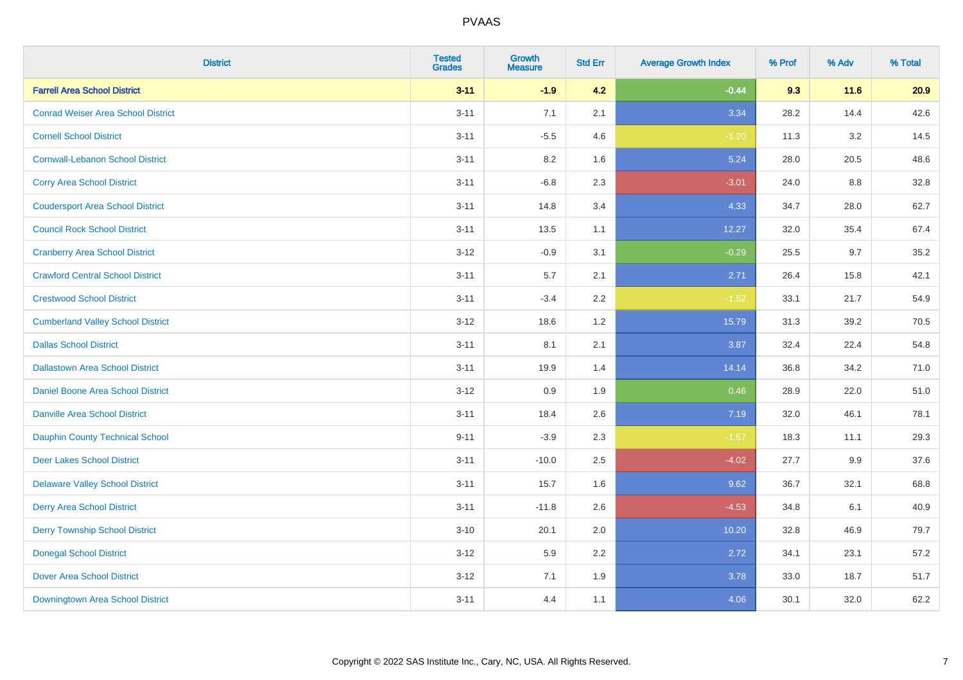| <b>District</b>                           | <b>Tested</b><br><b>Grades</b> | Growth<br><b>Measure</b> | <b>Std Err</b> | <b>Average Growth Index</b> | % Prof | % Adv | % Total |
|-------------------------------------------|--------------------------------|--------------------------|----------------|-----------------------------|--------|-------|---------|
| <b>Farrell Area School District</b>       | $3 - 11$                       | $-1.9$                   | 4.2            | $-0.44$                     | 9.3    | 11.6  | 20.9    |
| <b>Conrad Weiser Area School District</b> | $3 - 11$                       | 7.1                      | 2.1            | 3.34                        | 28.2   | 14.4  | 42.6    |
| <b>Cornell School District</b>            | $3 - 11$                       | $-5.5$                   | 4.6            | $-1.20$                     | 11.3   | 3.2   | 14.5    |
| <b>Cornwall-Lebanon School District</b>   | $3 - 11$                       | $8.2\,$                  | 1.6            | 5.24                        | 28.0   | 20.5  | 48.6    |
| <b>Corry Area School District</b>         | $3 - 11$                       | $-6.8$                   | 2.3            | $-3.01$                     | 24.0   | 8.8   | 32.8    |
| <b>Coudersport Area School District</b>   | $3 - 11$                       | 14.8                     | 3.4            | 4.33                        | 34.7   | 28.0  | 62.7    |
| <b>Council Rock School District</b>       | $3 - 11$                       | 13.5                     | 1.1            | 12.27                       | 32.0   | 35.4  | 67.4    |
| <b>Cranberry Area School District</b>     | $3 - 12$                       | $-0.9$                   | 3.1            | $-0.29$                     | 25.5   | 9.7   | 35.2    |
| <b>Crawford Central School District</b>   | $3 - 11$                       | 5.7                      | 2.1            | 2.71                        | 26.4   | 15.8  | 42.1    |
| <b>Crestwood School District</b>          | $3 - 11$                       | $-3.4$                   | $2.2\,$        | $-1.52$                     | 33.1   | 21.7  | 54.9    |
| <b>Cumberland Valley School District</b>  | $3 - 12$                       | 18.6                     | 1.2            | 15.79                       | 31.3   | 39.2  | 70.5    |
| <b>Dallas School District</b>             | $3 - 11$                       | 8.1                      | 2.1            | 3.87                        | 32.4   | 22.4  | 54.8    |
| <b>Dallastown Area School District</b>    | $3 - 11$                       | 19.9                     | 1.4            | 14.14                       | 36.8   | 34.2  | 71.0    |
| Daniel Boone Area School District         | $3 - 12$                       | 0.9                      | 1.9            | 0.46                        | 28.9   | 22.0  | 51.0    |
| <b>Danville Area School District</b>      | $3 - 11$                       | 18.4                     | 2.6            | 7.19                        | 32.0   | 46.1  | 78.1    |
| <b>Dauphin County Technical School</b>    | $9 - 11$                       | $-3.9$                   | 2.3            | $-1.67$                     | 18.3   | 11.1  | 29.3    |
| <b>Deer Lakes School District</b>         | $3 - 11$                       | $-10.0$                  | 2.5            | $-4.02$                     | 27.7   | 9.9   | 37.6    |
| <b>Delaware Valley School District</b>    | $3 - 11$                       | 15.7                     | 1.6            | 9.62                        | 36.7   | 32.1  | 68.8    |
| <b>Derry Area School District</b>         | $3 - 11$                       | $-11.8$                  | 2.6            | $-4.53$                     | 34.8   | 6.1   | 40.9    |
| <b>Derry Township School District</b>     | $3 - 10$                       | 20.1                     | 2.0            | 10.20                       | 32.8   | 46.9  | 79.7    |
| <b>Donegal School District</b>            | $3 - 12$                       | 5.9                      | 2.2            | 2.72                        | 34.1   | 23.1  | 57.2    |
| <b>Dover Area School District</b>         | $3 - 12$                       | 7.1                      | 1.9            | 3.78                        | 33.0   | 18.7  | 51.7    |
| Downingtown Area School District          | $3 - 11$                       | 4.4                      | 1.1            | 4.06                        | 30.1   | 32.0  | 62.2    |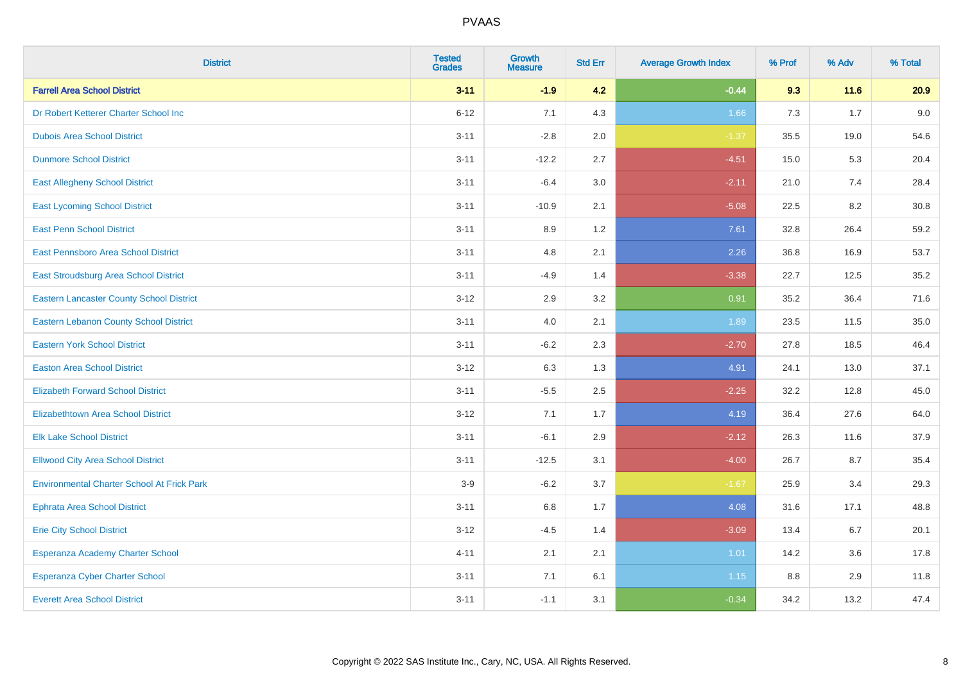| <b>District</b>                                   | <b>Tested</b><br><b>Grades</b> | <b>Growth</b><br><b>Measure</b> | <b>Std Err</b> | <b>Average Growth Index</b> | % Prof | % Adv | % Total |
|---------------------------------------------------|--------------------------------|---------------------------------|----------------|-----------------------------|--------|-------|---------|
| <b>Farrell Area School District</b>               | $3 - 11$                       | $-1.9$                          | 4.2            | $-0.44$                     | 9.3    | 11.6  | 20.9    |
| Dr Robert Ketterer Charter School Inc             | $6 - 12$                       | 7.1                             | 4.3            | 1.66                        | 7.3    | 1.7   | 9.0     |
| <b>Dubois Area School District</b>                | $3 - 11$                       | $-2.8$                          | 2.0            | $-1.37$                     | 35.5   | 19.0  | 54.6    |
| <b>Dunmore School District</b>                    | $3 - 11$                       | $-12.2$                         | 2.7            | $-4.51$                     | 15.0   | 5.3   | 20.4    |
| <b>East Allegheny School District</b>             | $3 - 11$                       | $-6.4$                          | 3.0            | $-2.11$                     | 21.0   | 7.4   | 28.4    |
| <b>East Lycoming School District</b>              | $3 - 11$                       | $-10.9$                         | 2.1            | $-5.08$                     | 22.5   | 8.2   | 30.8    |
| <b>East Penn School District</b>                  | $3 - 11$                       | 8.9                             | 1.2            | 7.61                        | 32.8   | 26.4  | 59.2    |
| East Pennsboro Area School District               | $3 - 11$                       | 4.8                             | 2.1            | 2.26                        | 36.8   | 16.9  | 53.7    |
| East Stroudsburg Area School District             | $3 - 11$                       | $-4.9$                          | 1.4            | $-3.38$                     | 22.7   | 12.5  | 35.2    |
| <b>Eastern Lancaster County School District</b>   | $3 - 12$                       | 2.9                             | 3.2            | 0.91                        | 35.2   | 36.4  | 71.6    |
| <b>Eastern Lebanon County School District</b>     | $3 - 11$                       | 4.0                             | 2.1            | 1.89                        | 23.5   | 11.5  | 35.0    |
| <b>Eastern York School District</b>               | $3 - 11$                       | $-6.2$                          | 2.3            | $-2.70$                     | 27.8   | 18.5  | 46.4    |
| <b>Easton Area School District</b>                | $3 - 12$                       | 6.3                             | 1.3            | 4.91                        | 24.1   | 13.0  | 37.1    |
| <b>Elizabeth Forward School District</b>          | $3 - 11$                       | $-5.5$                          | 2.5            | $-2.25$                     | 32.2   | 12.8  | 45.0    |
| <b>Elizabethtown Area School District</b>         | $3 - 12$                       | 7.1                             | 1.7            | 4.19                        | 36.4   | 27.6  | 64.0    |
| <b>Elk Lake School District</b>                   | $3 - 11$                       | $-6.1$                          | 2.9            | $-2.12$                     | 26.3   | 11.6  | 37.9    |
| <b>Ellwood City Area School District</b>          | $3 - 11$                       | $-12.5$                         | 3.1            | $-4.00$                     | 26.7   | 8.7   | 35.4    |
| <b>Environmental Charter School At Frick Park</b> | $3-9$                          | $-6.2$                          | 3.7            | $-1.67$                     | 25.9   | 3.4   | 29.3    |
| <b>Ephrata Area School District</b>               | $3 - 11$                       | $6.8\,$                         | 1.7            | 4.08                        | 31.6   | 17.1  | 48.8    |
| <b>Erie City School District</b>                  | $3 - 12$                       | $-4.5$                          | 1.4            | $-3.09$                     | 13.4   | 6.7   | 20.1    |
| Esperanza Academy Charter School                  | $4 - 11$                       | 2.1                             | 2.1            | 1.01                        | 14.2   | 3.6   | 17.8    |
| Esperanza Cyber Charter School                    | $3 - 11$                       | 7.1                             | 6.1            | 1.15                        | 8.8    | 2.9   | 11.8    |
| <b>Everett Area School District</b>               | $3 - 11$                       | $-1.1$                          | 3.1            | $-0.34$                     | 34.2   | 13.2  | 47.4    |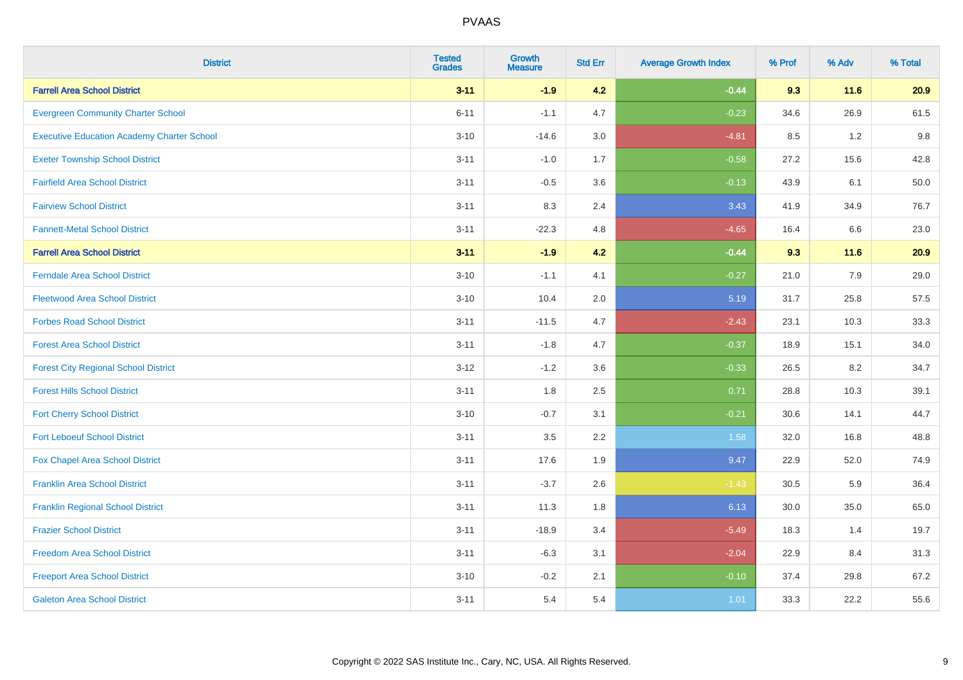| <b>District</b>                                   | <b>Tested</b><br><b>Grades</b> | <b>Growth</b><br><b>Measure</b> | <b>Std Err</b> | <b>Average Growth Index</b> | % Prof | % Adv  | % Total |
|---------------------------------------------------|--------------------------------|---------------------------------|----------------|-----------------------------|--------|--------|---------|
| <b>Farrell Area School District</b>               | $3 - 11$                       | $-1.9$                          | 4.2            | $-0.44$                     | 9.3    | $11.6$ | 20.9    |
| <b>Evergreen Community Charter School</b>         | $6 - 11$                       | $-1.1$                          | 4.7            | $-0.23$                     | 34.6   | 26.9   | 61.5    |
| <b>Executive Education Academy Charter School</b> | $3 - 10$                       | $-14.6$                         | 3.0            | $-4.81$                     | 8.5    | 1.2    | 9.8     |
| <b>Exeter Township School District</b>            | $3 - 11$                       | $-1.0$                          | 1.7            | $-0.58$                     | 27.2   | 15.6   | 42.8    |
| <b>Fairfield Area School District</b>             | $3 - 11$                       | $-0.5$                          | 3.6            | $-0.13$                     | 43.9   | 6.1    | 50.0    |
| <b>Fairview School District</b>                   | $3 - 11$                       | 8.3                             | 2.4            | 3.43                        | 41.9   | 34.9   | 76.7    |
| <b>Fannett-Metal School District</b>              | $3 - 11$                       | $-22.3$                         | 4.8            | $-4.65$                     | 16.4   | 6.6    | 23.0    |
| <b>Farrell Area School District</b>               | $3 - 11$                       | $-1.9$                          | 4.2            | $-0.44$                     | 9.3    | $11.6$ | 20.9    |
| <b>Ferndale Area School District</b>              | $3 - 10$                       | $-1.1$                          | 4.1            | $-0.27$                     | 21.0   | 7.9    | 29.0    |
| <b>Fleetwood Area School District</b>             | $3 - 10$                       | 10.4                            | 2.0            | 5.19                        | 31.7   | 25.8   | 57.5    |
| <b>Forbes Road School District</b>                | $3 - 11$                       | $-11.5$                         | 4.7            | $-2.43$                     | 23.1   | 10.3   | 33.3    |
| <b>Forest Area School District</b>                | $3 - 11$                       | $-1.8$                          | 4.7            | $-0.37$                     | 18.9   | 15.1   | 34.0    |
| <b>Forest City Regional School District</b>       | $3 - 12$                       | $-1.2$                          | 3.6            | $-0.33$                     | 26.5   | 8.2    | 34.7    |
| <b>Forest Hills School District</b>               | $3 - 11$                       | 1.8                             | 2.5            | 0.71                        | 28.8   | 10.3   | 39.1    |
| <b>Fort Cherry School District</b>                | $3 - 10$                       | $-0.7$                          | 3.1            | $-0.21$                     | 30.6   | 14.1   | 44.7    |
| <b>Fort Leboeuf School District</b>               | $3 - 11$                       | $3.5\,$                         | 2.2            | 1.58                        | 32.0   | 16.8   | 48.8    |
| Fox Chapel Area School District                   | $3 - 11$                       | 17.6                            | 1.9            | 9.47                        | 22.9   | 52.0   | 74.9    |
| <b>Franklin Area School District</b>              | $3 - 11$                       | $-3.7$                          | 2.6            | $-1.43$                     | 30.5   | 5.9    | 36.4    |
| <b>Franklin Regional School District</b>          | $3 - 11$                       | 11.3                            | 1.8            | 6.13                        | 30.0   | 35.0   | 65.0    |
| <b>Frazier School District</b>                    | $3 - 11$                       | $-18.9$                         | 3.4            | $-5.49$                     | 18.3   | 1.4    | 19.7    |
| <b>Freedom Area School District</b>               | $3 - 11$                       | $-6.3$                          | 3.1            | $-2.04$                     | 22.9   | 8.4    | 31.3    |
| <b>Freeport Area School District</b>              | $3 - 10$                       | $-0.2$                          | 2.1            | $-0.10$                     | 37.4   | 29.8   | 67.2    |
| <b>Galeton Area School District</b>               | $3 - 11$                       | 5.4                             | 5.4            | 1.01                        | 33.3   | 22.2   | 55.6    |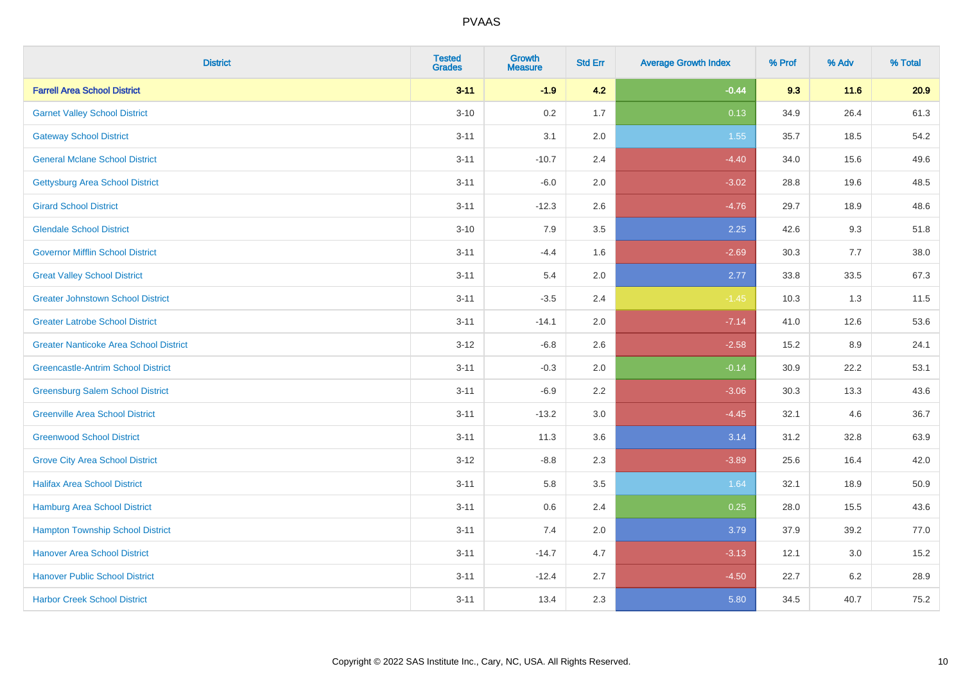| <b>District</b>                               | <b>Tested</b><br><b>Grades</b> | <b>Growth</b><br><b>Measure</b> | <b>Std Err</b> | <b>Average Growth Index</b> | % Prof | % Adv   | % Total |
|-----------------------------------------------|--------------------------------|---------------------------------|----------------|-----------------------------|--------|---------|---------|
| <b>Farrell Area School District</b>           | $3 - 11$                       | $-1.9$                          | 4.2            | $-0.44$                     | 9.3    | 11.6    | 20.9    |
| <b>Garnet Valley School District</b>          | $3 - 10$                       | 0.2                             | 1.7            | 0.13                        | 34.9   | 26.4    | 61.3    |
| <b>Gateway School District</b>                | $3 - 11$                       | 3.1                             | 2.0            | 1.55                        | 35.7   | 18.5    | 54.2    |
| <b>General Mclane School District</b>         | $3 - 11$                       | $-10.7$                         | 2.4            | $-4.40$                     | 34.0   | 15.6    | 49.6    |
| <b>Gettysburg Area School District</b>        | $3 - 11$                       | $-6.0$                          | 2.0            | $-3.02$                     | 28.8   | 19.6    | 48.5    |
| <b>Girard School District</b>                 | $3 - 11$                       | $-12.3$                         | 2.6            | $-4.76$                     | 29.7   | 18.9    | 48.6    |
| <b>Glendale School District</b>               | $3 - 10$                       | 7.9                             | 3.5            | 2.25                        | 42.6   | 9.3     | 51.8    |
| <b>Governor Mifflin School District</b>       | $3 - 11$                       | $-4.4$                          | 1.6            | $-2.69$                     | 30.3   | 7.7     | 38.0    |
| <b>Great Valley School District</b>           | $3 - 11$                       | 5.4                             | 2.0            | 2.77                        | 33.8   | 33.5    | 67.3    |
| <b>Greater Johnstown School District</b>      | $3 - 11$                       | $-3.5$                          | 2.4            | $-1.45$                     | 10.3   | 1.3     | 11.5    |
| <b>Greater Latrobe School District</b>        | $3 - 11$                       | $-14.1$                         | 2.0            | $-7.14$                     | 41.0   | 12.6    | 53.6    |
| <b>Greater Nanticoke Area School District</b> | $3 - 12$                       | $-6.8$                          | 2.6            | $-2.58$                     | 15.2   | 8.9     | 24.1    |
| <b>Greencastle-Antrim School District</b>     | $3 - 11$                       | $-0.3$                          | 2.0            | $-0.14$                     | 30.9   | 22.2    | 53.1    |
| <b>Greensburg Salem School District</b>       | $3 - 11$                       | $-6.9$                          | 2.2            | $-3.06$                     | 30.3   | 13.3    | 43.6    |
| <b>Greenville Area School District</b>        | $3 - 11$                       | $-13.2$                         | 3.0            | $-4.45$                     | 32.1   | 4.6     | 36.7    |
| <b>Greenwood School District</b>              | $3 - 11$                       | 11.3                            | 3.6            | 3.14                        | 31.2   | 32.8    | 63.9    |
| <b>Grove City Area School District</b>        | $3 - 12$                       | $-8.8$                          | 2.3            | $-3.89$                     | 25.6   | 16.4    | 42.0    |
| <b>Halifax Area School District</b>           | $3 - 11$                       | 5.8                             | 3.5            | 1.64                        | 32.1   | 18.9    | 50.9    |
| <b>Hamburg Area School District</b>           | $3 - 11$                       | 0.6                             | 2.4            | 0.25                        | 28.0   | 15.5    | 43.6    |
| <b>Hampton Township School District</b>       | $3 - 11$                       | 7.4                             | 2.0            | 3.79                        | 37.9   | 39.2    | 77.0    |
| <b>Hanover Area School District</b>           | $3 - 11$                       | $-14.7$                         | 4.7            | $-3.13$                     | 12.1   | 3.0     | 15.2    |
| <b>Hanover Public School District</b>         | $3 - 11$                       | $-12.4$                         | 2.7            | $-4.50$                     | 22.7   | $6.2\,$ | 28.9    |
| <b>Harbor Creek School District</b>           | $3 - 11$                       | 13.4                            | 2.3            | 5.80                        | 34.5   | 40.7    | 75.2    |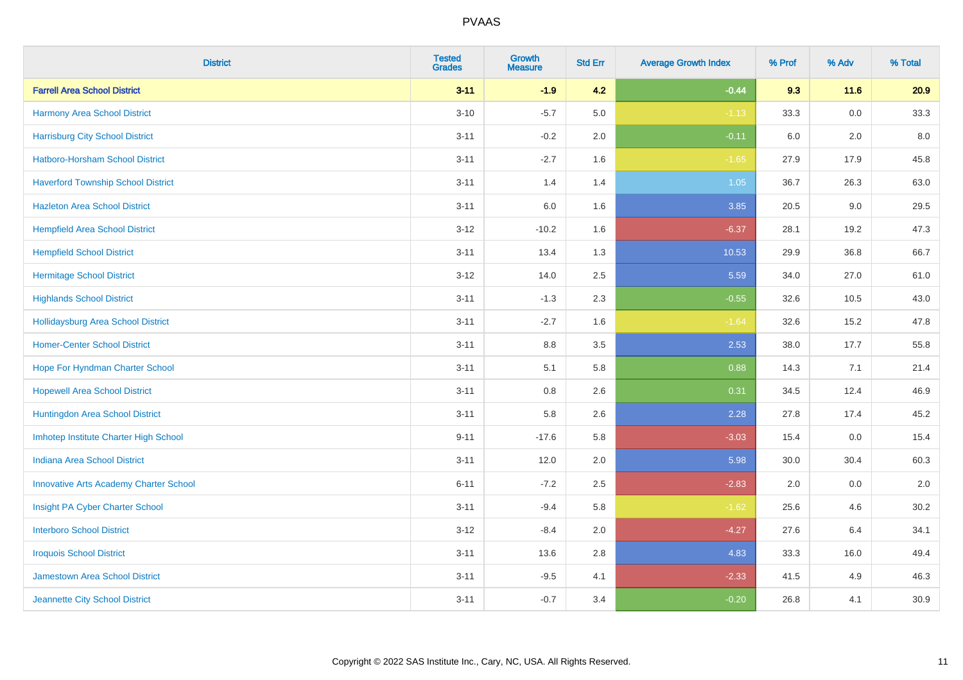| <b>District</b>                               | <b>Tested</b><br><b>Grades</b> | Growth<br><b>Measure</b> | <b>Std Err</b> | <b>Average Growth Index</b> | % Prof | % Adv | % Total |
|-----------------------------------------------|--------------------------------|--------------------------|----------------|-----------------------------|--------|-------|---------|
| <b>Farrell Area School District</b>           | $3 - 11$                       | $-1.9$                   | 4.2            | $-0.44$                     | 9.3    | 11.6  | 20.9    |
| <b>Harmony Area School District</b>           | $3 - 10$                       | $-5.7$                   | 5.0            | $-1.13$                     | 33.3   | 0.0   | 33.3    |
| <b>Harrisburg City School District</b>        | $3 - 11$                       | $-0.2$                   | 2.0            | $-0.11$                     | 6.0    | 2.0   | 8.0     |
| Hatboro-Horsham School District               | $3 - 11$                       | $-2.7$                   | 1.6            | $-1.65$                     | 27.9   | 17.9  | 45.8    |
| <b>Haverford Township School District</b>     | $3 - 11$                       | 1.4                      | 1.4            | 1.05                        | 36.7   | 26.3  | 63.0    |
| <b>Hazleton Area School District</b>          | $3 - 11$                       | 6.0                      | 1.6            | 3.85                        | 20.5   | 9.0   | 29.5    |
| <b>Hempfield Area School District</b>         | $3 - 12$                       | $-10.2$                  | 1.6            | $-6.37$                     | 28.1   | 19.2  | 47.3    |
| <b>Hempfield School District</b>              | $3 - 11$                       | 13.4                     | 1.3            | 10.53                       | 29.9   | 36.8  | 66.7    |
| <b>Hermitage School District</b>              | $3 - 12$                       | 14.0                     | 2.5            | 5.59                        | 34.0   | 27.0  | 61.0    |
| <b>Highlands School District</b>              | $3 - 11$                       | $-1.3$                   | 2.3            | $-0.55$                     | 32.6   | 10.5  | 43.0    |
| <b>Hollidaysburg Area School District</b>     | $3 - 11$                       | $-2.7$                   | 1.6            | $-1.64$                     | 32.6   | 15.2  | 47.8    |
| <b>Homer-Center School District</b>           | $3 - 11$                       | 8.8                      | 3.5            | 2.53                        | 38.0   | 17.7  | 55.8    |
| Hope For Hyndman Charter School               | $3 - 11$                       | 5.1                      | 5.8            | 0.88                        | 14.3   | 7.1   | 21.4    |
| <b>Hopewell Area School District</b>          | $3 - 11$                       | $0.8\,$                  | 2.6            | 0.31                        | 34.5   | 12.4  | 46.9    |
| Huntingdon Area School District               | $3 - 11$                       | 5.8                      | 2.6            | 2.28                        | 27.8   | 17.4  | 45.2    |
| Imhotep Institute Charter High School         | $9 - 11$                       | $-17.6$                  | 5.8            | $-3.03$                     | 15.4   | 0.0   | 15.4    |
| <b>Indiana Area School District</b>           | $3 - 11$                       | 12.0                     | 2.0            | 5.98                        | 30.0   | 30.4  | 60.3    |
| <b>Innovative Arts Academy Charter School</b> | $6 - 11$                       | $-7.2$                   | 2.5            | $-2.83$                     | 2.0    | 0.0   | 2.0     |
| Insight PA Cyber Charter School               | $3 - 11$                       | $-9.4$                   | 5.8            | $-1.62$                     | 25.6   | 4.6   | 30.2    |
| <b>Interboro School District</b>              | $3 - 12$                       | $-8.4$                   | 2.0            | $-4.27$                     | 27.6   | 6.4   | 34.1    |
| <b>Iroquois School District</b>               | $3 - 11$                       | 13.6                     | 2.8            | 4.83                        | 33.3   | 16.0  | 49.4    |
| <b>Jamestown Area School District</b>         | $3 - 11$                       | $-9.5$                   | 4.1            | $-2.33$                     | 41.5   | 4.9   | 46.3    |
| Jeannette City School District                | $3 - 11$                       | $-0.7$                   | 3.4            | $-0.20$                     | 26.8   | 4.1   | 30.9    |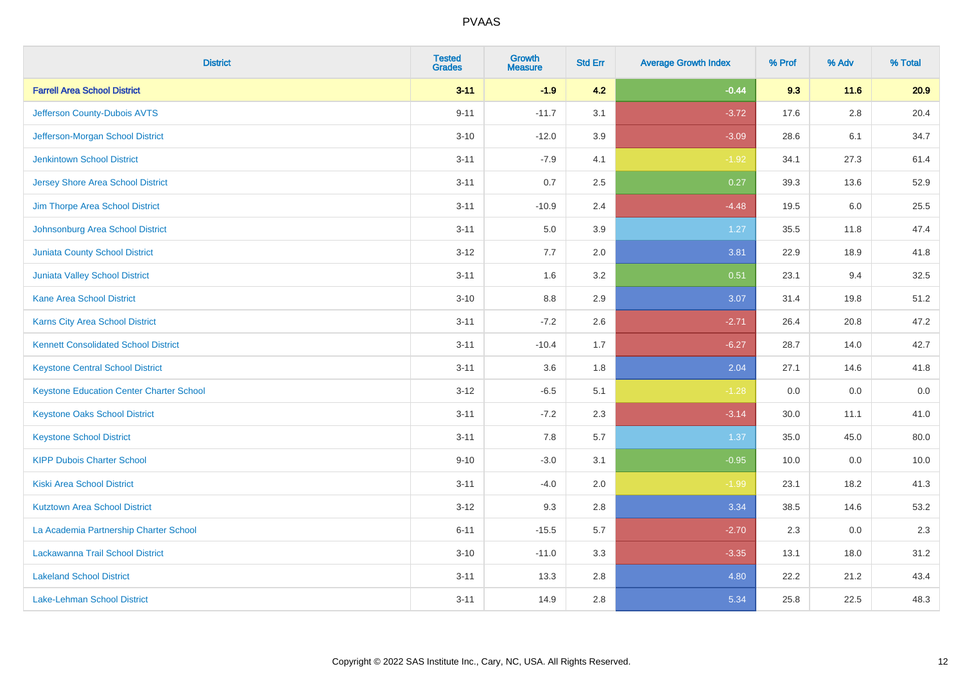| <b>District</b>                                 | <b>Tested</b><br><b>Grades</b> | <b>Growth</b><br><b>Measure</b> | <b>Std Err</b> | <b>Average Growth Index</b> | % Prof | % Adv  | % Total |
|-------------------------------------------------|--------------------------------|---------------------------------|----------------|-----------------------------|--------|--------|---------|
| <b>Farrell Area School District</b>             | $3 - 11$                       | $-1.9$                          | 4.2            | $-0.44$                     | 9.3    | $11.6$ | 20.9    |
| Jefferson County-Dubois AVTS                    | $9 - 11$                       | $-11.7$                         | 3.1            | $-3.72$                     | 17.6   | 2.8    | 20.4    |
| Jefferson-Morgan School District                | $3 - 10$                       | $-12.0$                         | 3.9            | $-3.09$                     | 28.6   | 6.1    | 34.7    |
| <b>Jenkintown School District</b>               | $3 - 11$                       | $-7.9$                          | 4.1            | $-1.92$                     | 34.1   | 27.3   | 61.4    |
| <b>Jersey Shore Area School District</b>        | $3 - 11$                       | 0.7                             | 2.5            | 0.27                        | 39.3   | 13.6   | 52.9    |
| Jim Thorpe Area School District                 | $3 - 11$                       | $-10.9$                         | 2.4            | $-4.48$                     | 19.5   | 6.0    | 25.5    |
| Johnsonburg Area School District                | $3 - 11$                       | 5.0                             | 3.9            | 1.27                        | 35.5   | 11.8   | 47.4    |
| <b>Juniata County School District</b>           | $3 - 12$                       | 7.7                             | 2.0            | 3.81                        | 22.9   | 18.9   | 41.8    |
| Juniata Valley School District                  | $3 - 11$                       | 1.6                             | 3.2            | 0.51                        | 23.1   | 9.4    | 32.5    |
| <b>Kane Area School District</b>                | $3 - 10$                       | 8.8                             | 2.9            | 3.07                        | 31.4   | 19.8   | 51.2    |
| Karns City Area School District                 | $3 - 11$                       | $-7.2$                          | 2.6            | $-2.71$                     | 26.4   | 20.8   | 47.2    |
| <b>Kennett Consolidated School District</b>     | $3 - 11$                       | $-10.4$                         | 1.7            | $-6.27$                     | 28.7   | 14.0   | 42.7    |
| <b>Keystone Central School District</b>         | $3 - 11$                       | 3.6                             | 1.8            | 2.04                        | 27.1   | 14.6   | 41.8    |
| <b>Keystone Education Center Charter School</b> | $3 - 12$                       | $-6.5$                          | 5.1            | $-1.28$                     | 0.0    | 0.0    | 0.0     |
| <b>Keystone Oaks School District</b>            | $3 - 11$                       | $-7.2$                          | 2.3            | $-3.14$                     | 30.0   | 11.1   | 41.0    |
| <b>Keystone School District</b>                 | $3 - 11$                       | 7.8                             | 5.7            | 1.37                        | 35.0   | 45.0   | 80.0    |
| <b>KIPP Dubois Charter School</b>               | $9 - 10$                       | $-3.0$                          | 3.1            | $-0.95$                     | 10.0   | 0.0    | 10.0    |
| <b>Kiski Area School District</b>               | $3 - 11$                       | $-4.0$                          | 2.0            | $-1.99$                     | 23.1   | 18.2   | 41.3    |
| <b>Kutztown Area School District</b>            | $3 - 12$                       | 9.3                             | 2.8            | 3.34                        | 38.5   | 14.6   | 53.2    |
| La Academia Partnership Charter School          | $6 - 11$                       | $-15.5$                         | 5.7            | $-2.70$                     | 2.3    | 0.0    | 2.3     |
| Lackawanna Trail School District                | $3 - 10$                       | $-11.0$                         | 3.3            | $-3.35$                     | 13.1   | 18.0   | 31.2    |
| <b>Lakeland School District</b>                 | $3 - 11$                       | 13.3                            | 2.8            | 4.80                        | 22.2   | 21.2   | 43.4    |
| Lake-Lehman School District                     | $3 - 11$                       | 14.9                            | 2.8            | 5.34                        | 25.8   | 22.5   | 48.3    |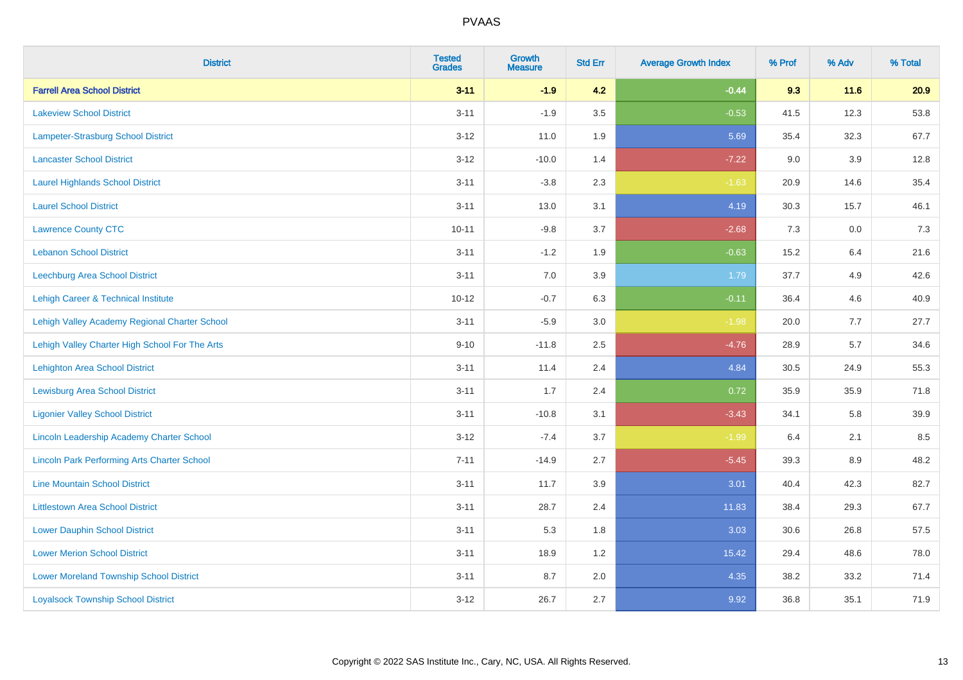| <b>District</b>                                    | <b>Tested</b><br><b>Grades</b> | Growth<br><b>Measure</b> | <b>Std Err</b> | <b>Average Growth Index</b> | % Prof | % Adv   | % Total |
|----------------------------------------------------|--------------------------------|--------------------------|----------------|-----------------------------|--------|---------|---------|
| <b>Farrell Area School District</b>                | $3 - 11$                       | $-1.9$                   | 4.2            | $-0.44$                     | 9.3    | 11.6    | 20.9    |
| <b>Lakeview School District</b>                    | $3 - 11$                       | $-1.9$                   | 3.5            | $-0.53$                     | 41.5   | 12.3    | 53.8    |
| Lampeter-Strasburg School District                 | $3 - 12$                       | 11.0                     | 1.9            | 5.69                        | 35.4   | 32.3    | 67.7    |
| <b>Lancaster School District</b>                   | $3 - 12$                       | $-10.0$                  | 1.4            | $-7.22$                     | 9.0    | $3.9\,$ | 12.8    |
| <b>Laurel Highlands School District</b>            | $3 - 11$                       | $-3.8$                   | 2.3            | $-1.63$                     | 20.9   | 14.6    | 35.4    |
| <b>Laurel School District</b>                      | $3 - 11$                       | 13.0                     | 3.1            | 4.19                        | 30.3   | 15.7    | 46.1    |
| <b>Lawrence County CTC</b>                         | $10 - 11$                      | $-9.8$                   | 3.7            | $-2.68$                     | 7.3    | 0.0     | $7.3$   |
| <b>Lebanon School District</b>                     | $3 - 11$                       | $-1.2$                   | 1.9            | $-0.63$                     | 15.2   | 6.4     | 21.6    |
| Leechburg Area School District                     | $3 - 11$                       | 7.0                      | 3.9            | 1.79                        | 37.7   | 4.9     | 42.6    |
| Lehigh Career & Technical Institute                | $10 - 12$                      | $-0.7$                   | 6.3            | $-0.11$                     | 36.4   | 4.6     | 40.9    |
| Lehigh Valley Academy Regional Charter School      | $3 - 11$                       | $-5.9$                   | 3.0            | $-1.98$                     | 20.0   | 7.7     | 27.7    |
| Lehigh Valley Charter High School For The Arts     | $9 - 10$                       | $-11.8$                  | 2.5            | $-4.76$                     | 28.9   | 5.7     | 34.6    |
| <b>Lehighton Area School District</b>              | $3 - 11$                       | 11.4                     | 2.4            | 4.84                        | 30.5   | 24.9    | 55.3    |
| <b>Lewisburg Area School District</b>              | $3 - 11$                       | 1.7                      | 2.4            | 0.72                        | 35.9   | 35.9    | 71.8    |
| <b>Ligonier Valley School District</b>             | $3 - 11$                       | $-10.8$                  | 3.1            | $-3.43$                     | 34.1   | 5.8     | 39.9    |
| Lincoln Leadership Academy Charter School          | $3 - 12$                       | $-7.4$                   | 3.7            | $-1.99$                     | 6.4    | 2.1     | 8.5     |
| <b>Lincoln Park Performing Arts Charter School</b> | $7 - 11$                       | $-14.9$                  | 2.7            | $-5.45$                     | 39.3   | 8.9     | 48.2    |
| <b>Line Mountain School District</b>               | $3 - 11$                       | 11.7                     | 3.9            | 3.01                        | 40.4   | 42.3    | 82.7    |
| <b>Littlestown Area School District</b>            | $3 - 11$                       | 28.7                     | 2.4            | 11.83                       | 38.4   | 29.3    | 67.7    |
| <b>Lower Dauphin School District</b>               | $3 - 11$                       | 5.3                      | 1.8            | 3.03                        | 30.6   | 26.8    | 57.5    |
| <b>Lower Merion School District</b>                | $3 - 11$                       | 18.9                     | 1.2            | 15.42                       | 29.4   | 48.6    | 78.0    |
| <b>Lower Moreland Township School District</b>     | $3 - 11$                       | 8.7                      | 2.0            | 4.35                        | 38.2   | 33.2    | 71.4    |
| <b>Loyalsock Township School District</b>          | $3 - 12$                       | 26.7                     | 2.7            | 9.92                        | 36.8   | 35.1    | 71.9    |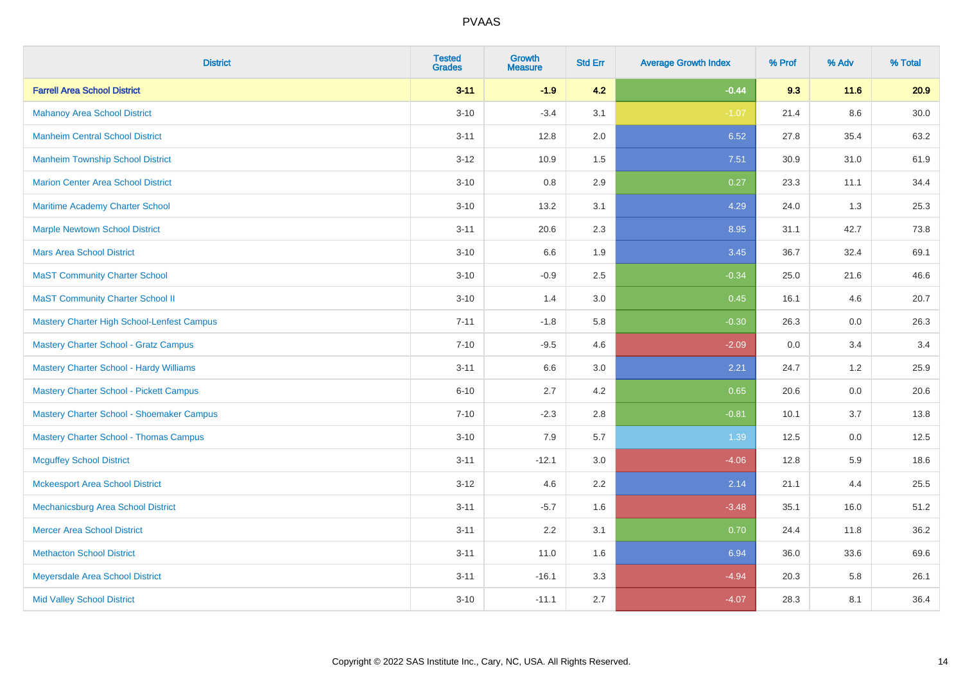| <b>District</b>                                | <b>Tested</b><br><b>Grades</b> | <b>Growth</b><br><b>Measure</b> | <b>Std Err</b> | <b>Average Growth Index</b> | % Prof | % Adv   | % Total  |
|------------------------------------------------|--------------------------------|---------------------------------|----------------|-----------------------------|--------|---------|----------|
| <b>Farrell Area School District</b>            | $3 - 11$                       | $-1.9$                          | 4.2            | $-0.44$                     | 9.3    | 11.6    | 20.9     |
| <b>Mahanoy Area School District</b>            | $3 - 10$                       | $-3.4$                          | 3.1            | $-1.07$                     | 21.4   | $8.6\,$ | $30.0\,$ |
| <b>Manheim Central School District</b>         | $3 - 11$                       | 12.8                            | 2.0            | 6.52                        | 27.8   | 35.4    | 63.2     |
| <b>Manheim Township School District</b>        | $3 - 12$                       | 10.9                            | 1.5            | 7.51                        | 30.9   | 31.0    | 61.9     |
| <b>Marion Center Area School District</b>      | $3 - 10$                       | 0.8                             | 2.9            | 0.27                        | 23.3   | 11.1    | 34.4     |
| Maritime Academy Charter School                | $3 - 10$                       | 13.2                            | 3.1            | 4.29                        | 24.0   | 1.3     | 25.3     |
| <b>Marple Newtown School District</b>          | $3 - 11$                       | 20.6                            | 2.3            | 8.95                        | 31.1   | 42.7    | 73.8     |
| <b>Mars Area School District</b>               | $3 - 10$                       | 6.6                             | 1.9            | 3.45                        | 36.7   | 32.4    | 69.1     |
| <b>MaST Community Charter School</b>           | $3 - 10$                       | $-0.9$                          | 2.5            | $-0.34$                     | 25.0   | 21.6    | 46.6     |
| <b>MaST Community Charter School II</b>        | $3 - 10$                       | 1.4                             | 3.0            | 0.45                        | 16.1   | 4.6     | 20.7     |
| Mastery Charter High School-Lenfest Campus     | $7 - 11$                       | $-1.8$                          | 5.8            | $-0.30$                     | 26.3   | 0.0     | 26.3     |
| <b>Mastery Charter School - Gratz Campus</b>   | $7 - 10$                       | $-9.5$                          | 4.6            | $-2.09$                     | 0.0    | 3.4     | 3.4      |
| Mastery Charter School - Hardy Williams        | $3 - 11$                       | 6.6                             | 3.0            | 2.21                        | 24.7   | 1.2     | 25.9     |
| <b>Mastery Charter School - Pickett Campus</b> | $6 - 10$                       | 2.7                             | 4.2            | 0.65                        | 20.6   | 0.0     | 20.6     |
| Mastery Charter School - Shoemaker Campus      | $7 - 10$                       | $-2.3$                          | 2.8            | $-0.81$                     | 10.1   | 3.7     | 13.8     |
| <b>Mastery Charter School - Thomas Campus</b>  | $3 - 10$                       | 7.9                             | 5.7            | 1.39                        | 12.5   | $0.0\,$ | 12.5     |
| <b>Mcguffey School District</b>                | $3 - 11$                       | $-12.1$                         | 3.0            | $-4.06$                     | 12.8   | 5.9     | 18.6     |
| <b>Mckeesport Area School District</b>         | $3 - 12$                       | 4.6                             | 2.2            | 2.14                        | 21.1   | 4.4     | 25.5     |
| Mechanicsburg Area School District             | $3 - 11$                       | $-5.7$                          | 1.6            | $-3.48$                     | 35.1   | 16.0    | 51.2     |
| <b>Mercer Area School District</b>             | $3 - 11$                       | 2.2                             | 3.1            | 0.70                        | 24.4   | 11.8    | 36.2     |
| <b>Methacton School District</b>               | $3 - 11$                       | 11.0                            | 1.6            | 6.94                        | 36.0   | 33.6    | 69.6     |
| Meyersdale Area School District                | $3 - 11$                       | $-16.1$                         | 3.3            | $-4.94$                     | 20.3   | 5.8     | 26.1     |
| <b>Mid Valley School District</b>              | $3 - 10$                       | $-11.1$                         | 2.7            | $-4.07$                     | 28.3   | 8.1     | 36.4     |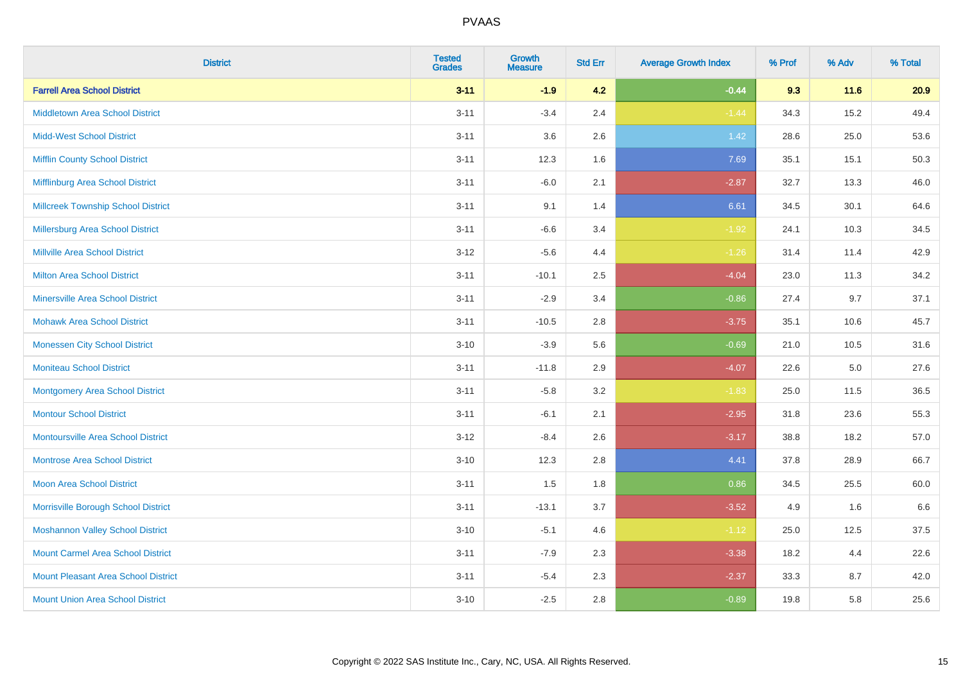| <b>District</b>                            | <b>Tested</b><br><b>Grades</b> | <b>Growth</b><br><b>Measure</b> | <b>Std Err</b> | <b>Average Growth Index</b> | % Prof | % Adv   | % Total |
|--------------------------------------------|--------------------------------|---------------------------------|----------------|-----------------------------|--------|---------|---------|
| <b>Farrell Area School District</b>        | $3 - 11$                       | $-1.9$                          | 4.2            | $-0.44$                     | 9.3    | 11.6    | 20.9    |
| <b>Middletown Area School District</b>     | $3 - 11$                       | $-3.4$                          | 2.4            | $-1.44$                     | 34.3   | 15.2    | 49.4    |
| <b>Midd-West School District</b>           | $3 - 11$                       | 3.6                             | 2.6            | 1.42                        | 28.6   | 25.0    | 53.6    |
| <b>Mifflin County School District</b>      | $3 - 11$                       | 12.3                            | 1.6            | 7.69                        | 35.1   | 15.1    | 50.3    |
| Mifflinburg Area School District           | $3 - 11$                       | $-6.0$                          | 2.1            | $-2.87$                     | 32.7   | 13.3    | 46.0    |
| <b>Millcreek Township School District</b>  | $3 - 11$                       | 9.1                             | 1.4            | 6.61                        | 34.5   | 30.1    | 64.6    |
| Millersburg Area School District           | $3 - 11$                       | $-6.6$                          | 3.4            | $-1.92$                     | 24.1   | 10.3    | 34.5    |
| <b>Millville Area School District</b>      | $3 - 12$                       | $-5.6$                          | 4.4            | $-1.26$                     | 31.4   | 11.4    | 42.9    |
| <b>Milton Area School District</b>         | $3 - 11$                       | $-10.1$                         | 2.5            | $-4.04$                     | 23.0   | 11.3    | 34.2    |
| <b>Minersville Area School District</b>    | $3 - 11$                       | $-2.9$                          | 3.4            | $-0.86$                     | 27.4   | 9.7     | 37.1    |
| <b>Mohawk Area School District</b>         | $3 - 11$                       | $-10.5$                         | 2.8            | $-3.75$                     | 35.1   | 10.6    | 45.7    |
| <b>Monessen City School District</b>       | $3 - 10$                       | $-3.9$                          | 5.6            | $-0.69$                     | 21.0   | 10.5    | 31.6    |
| <b>Moniteau School District</b>            | $3 - 11$                       | $-11.8$                         | 2.9            | $-4.07$                     | 22.6   | $5.0\,$ | 27.6    |
| <b>Montgomery Area School District</b>     | $3 - 11$                       | $-5.8$                          | 3.2            | $-1.83$                     | 25.0   | 11.5    | 36.5    |
| <b>Montour School District</b>             | $3 - 11$                       | $-6.1$                          | 2.1            | $-2.95$                     | 31.8   | 23.6    | 55.3    |
| <b>Montoursville Area School District</b>  | $3 - 12$                       | $-8.4$                          | 2.6            | $-3.17$                     | 38.8   | 18.2    | 57.0    |
| <b>Montrose Area School District</b>       | $3 - 10$                       | 12.3                            | 2.8            | 4.41                        | 37.8   | 28.9    | 66.7    |
| <b>Moon Area School District</b>           | $3 - 11$                       | 1.5                             | 1.8            | 0.86                        | 34.5   | 25.5    | 60.0    |
| Morrisville Borough School District        | $3 - 11$                       | $-13.1$                         | 3.7            | $-3.52$                     | 4.9    | 1.6     | 6.6     |
| <b>Moshannon Valley School District</b>    | $3 - 10$                       | $-5.1$                          | 4.6            | $-1.12$                     | 25.0   | 12.5    | 37.5    |
| <b>Mount Carmel Area School District</b>   | $3 - 11$                       | $-7.9$                          | 2.3            | $-3.38$                     | 18.2   | 4.4     | 22.6    |
| <b>Mount Pleasant Area School District</b> | $3 - 11$                       | $-5.4$                          | 2.3            | $-2.37$                     | 33.3   | 8.7     | 42.0    |
| <b>Mount Union Area School District</b>    | $3 - 10$                       | $-2.5$                          | 2.8            | $-0.89$                     | 19.8   | 5.8     | 25.6    |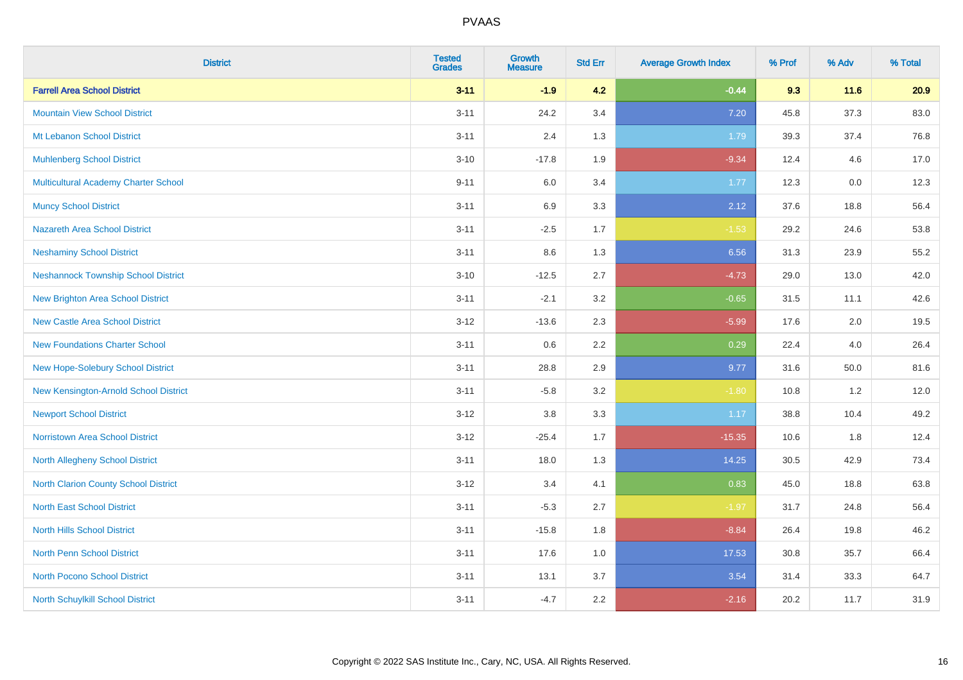| <b>District</b>                            | <b>Tested</b><br><b>Grades</b> | <b>Growth</b><br><b>Measure</b> | <b>Std Err</b> | <b>Average Growth Index</b> | % Prof | % Adv    | % Total |
|--------------------------------------------|--------------------------------|---------------------------------|----------------|-----------------------------|--------|----------|---------|
| <b>Farrell Area School District</b>        | $3 - 11$                       | $-1.9$                          | 4.2            | $-0.44$                     | 9.3    | $11.6$   | 20.9    |
| <b>Mountain View School District</b>       | $3 - 11$                       | 24.2                            | 3.4            | 7.20                        | 45.8   | 37.3     | 83.0    |
| Mt Lebanon School District                 | $3 - 11$                       | 2.4                             | 1.3            | 1.79                        | 39.3   | 37.4     | 76.8    |
| <b>Muhlenberg School District</b>          | $3 - 10$                       | $-17.8$                         | 1.9            | $-9.34$                     | 12.4   | 4.6      | 17.0    |
| Multicultural Academy Charter School       | $9 - 11$                       | 6.0                             | 3.4            | 1.77                        | 12.3   | 0.0      | 12.3    |
| <b>Muncy School District</b>               | $3 - 11$                       | 6.9                             | 3.3            | 2.12                        | 37.6   | 18.8     | 56.4    |
| <b>Nazareth Area School District</b>       | $3 - 11$                       | $-2.5$                          | 1.7            | $-1.53$                     | 29.2   | 24.6     | 53.8    |
| <b>Neshaminy School District</b>           | $3 - 11$                       | 8.6                             | 1.3            | 6.56                        | 31.3   | 23.9     | 55.2    |
| <b>Neshannock Township School District</b> | $3 - 10$                       | $-12.5$                         | 2.7            | $-4.73$                     | 29.0   | 13.0     | 42.0    |
| <b>New Brighton Area School District</b>   | $3 - 11$                       | $-2.1$                          | 3.2            | $-0.65$                     | 31.5   | 11.1     | 42.6    |
| <b>New Castle Area School District</b>     | $3-12$                         | $-13.6$                         | 2.3            | $-5.99$                     | 17.6   | 2.0      | 19.5    |
| <b>New Foundations Charter School</b>      | $3 - 11$                       | 0.6                             | 2.2            | 0.29                        | 22.4   | 4.0      | 26.4    |
| New Hope-Solebury School District          | $3 - 11$                       | 28.8                            | 2.9            | 9.77                        | 31.6   | $50.0\,$ | 81.6    |
| New Kensington-Arnold School District      | $3 - 11$                       | $-5.8$                          | 3.2            | $-1.80$                     | 10.8   | 1.2      | 12.0    |
| <b>Newport School District</b>             | $3-12$                         | $3.8\,$                         | 3.3            | 1.17                        | 38.8   | 10.4     | 49.2    |
| <b>Norristown Area School District</b>     | $3 - 12$                       | $-25.4$                         | 1.7            | $-15.35$                    | 10.6   | 1.8      | 12.4    |
| North Allegheny School District            | $3 - 11$                       | 18.0                            | 1.3            | 14.25                       | 30.5   | 42.9     | 73.4    |
| North Clarion County School District       | $3-12$                         | 3.4                             | 4.1            | 0.83                        | 45.0   | 18.8     | 63.8    |
| <b>North East School District</b>          | $3 - 11$                       | $-5.3$                          | 2.7            | $-1.97$                     | 31.7   | 24.8     | 56.4    |
| <b>North Hills School District</b>         | $3 - 11$                       | $-15.8$                         | 1.8            | $-8.84$                     | 26.4   | 19.8     | 46.2    |
| <b>North Penn School District</b>          | $3 - 11$                       | 17.6                            | 1.0            | 17.53                       | 30.8   | 35.7     | 66.4    |
| <b>North Pocono School District</b>        | $3 - 11$                       | 13.1                            | 3.7            | 3.54                        | 31.4   | 33.3     | 64.7    |
| North Schuylkill School District           | $3 - 11$                       | $-4.7$                          | 2.2            | $-2.16$                     | 20.2   | 11.7     | 31.9    |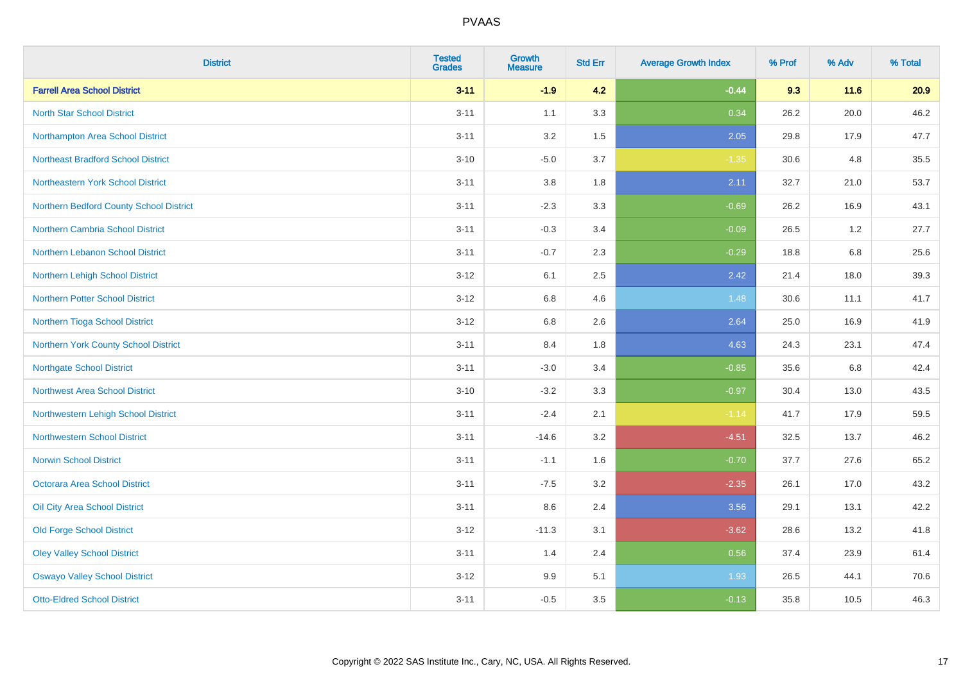| <b>District</b>                           | <b>Tested</b><br><b>Grades</b> | Growth<br><b>Measure</b> | <b>Std Err</b> | <b>Average Growth Index</b> | % Prof | % Adv | % Total |
|-------------------------------------------|--------------------------------|--------------------------|----------------|-----------------------------|--------|-------|---------|
| <b>Farrell Area School District</b>       | $3 - 11$                       | $-1.9$                   | 4.2            | $-0.44$                     | 9.3    | 11.6  | 20.9    |
| <b>North Star School District</b>         | $3 - 11$                       | 1.1                      | 3.3            | 0.34                        | 26.2   | 20.0  | 46.2    |
| Northampton Area School District          | $3 - 11$                       | 3.2                      | 1.5            | 2.05                        | 29.8   | 17.9  | 47.7    |
| <b>Northeast Bradford School District</b> | $3 - 10$                       | $-5.0$                   | 3.7            | $-1.35$                     | 30.6   | 4.8   | 35.5    |
| Northeastern York School District         | $3 - 11$                       | 3.8                      | 1.8            | 2.11                        | 32.7   | 21.0  | 53.7    |
| Northern Bedford County School District   | $3 - 11$                       | $-2.3$                   | 3.3            | $-0.69$                     | 26.2   | 16.9  | 43.1    |
| Northern Cambria School District          | $3 - 11$                       | $-0.3$                   | 3.4            | $-0.09$                     | 26.5   | 1.2   | 27.7    |
| <b>Northern Lebanon School District</b>   | $3 - 11$                       | $-0.7$                   | 2.3            | $-0.29$                     | 18.8   | 6.8   | 25.6    |
| Northern Lehigh School District           | $3 - 12$                       | 6.1                      | 2.5            | 2.42                        | 21.4   | 18.0  | 39.3    |
| <b>Northern Potter School District</b>    | $3 - 12$                       | 6.8                      | 4.6            | 1.48                        | 30.6   | 11.1  | 41.7    |
| Northern Tioga School District            | $3-12$                         | $6.8\,$                  | 2.6            | 2.64                        | 25.0   | 16.9  | 41.9    |
| Northern York County School District      | $3 - 11$                       | 8.4                      | 1.8            | 4.63                        | 24.3   | 23.1  | 47.4    |
| <b>Northgate School District</b>          | $3 - 11$                       | $-3.0$                   | 3.4            | $-0.85$                     | 35.6   | 6.8   | 42.4    |
| Northwest Area School District            | $3 - 10$                       | $-3.2$                   | 3.3            | $-0.97$                     | 30.4   | 13.0  | 43.5    |
| Northwestern Lehigh School District       | $3 - 11$                       | $-2.4$                   | 2.1            | $-1.14$                     | 41.7   | 17.9  | 59.5    |
| <b>Northwestern School District</b>       | $3 - 11$                       | $-14.6$                  | 3.2            | $-4.51$                     | 32.5   | 13.7  | 46.2    |
| <b>Norwin School District</b>             | $3 - 11$                       | $-1.1$                   | 1.6            | $-0.70$                     | 37.7   | 27.6  | 65.2    |
| <b>Octorara Area School District</b>      | $3 - 11$                       | $-7.5$                   | 3.2            | $-2.35$                     | 26.1   | 17.0  | 43.2    |
| Oil City Area School District             | $3 - 11$                       | 8.6                      | 2.4            | 3.56                        | 29.1   | 13.1  | 42.2    |
| <b>Old Forge School District</b>          | $3 - 12$                       | $-11.3$                  | 3.1            | $-3.62$                     | 28.6   | 13.2  | 41.8    |
| <b>Oley Valley School District</b>        | $3 - 11$                       | 1.4                      | 2.4            | 0.56                        | 37.4   | 23.9  | 61.4    |
| <b>Oswayo Valley School District</b>      | $3-12$                         | 9.9                      | 5.1            | 1.93                        | 26.5   | 44.1  | 70.6    |
| <b>Otto-Eldred School District</b>        | $3 - 11$                       | $-0.5$                   | 3.5            | $-0.13$                     | 35.8   | 10.5  | 46.3    |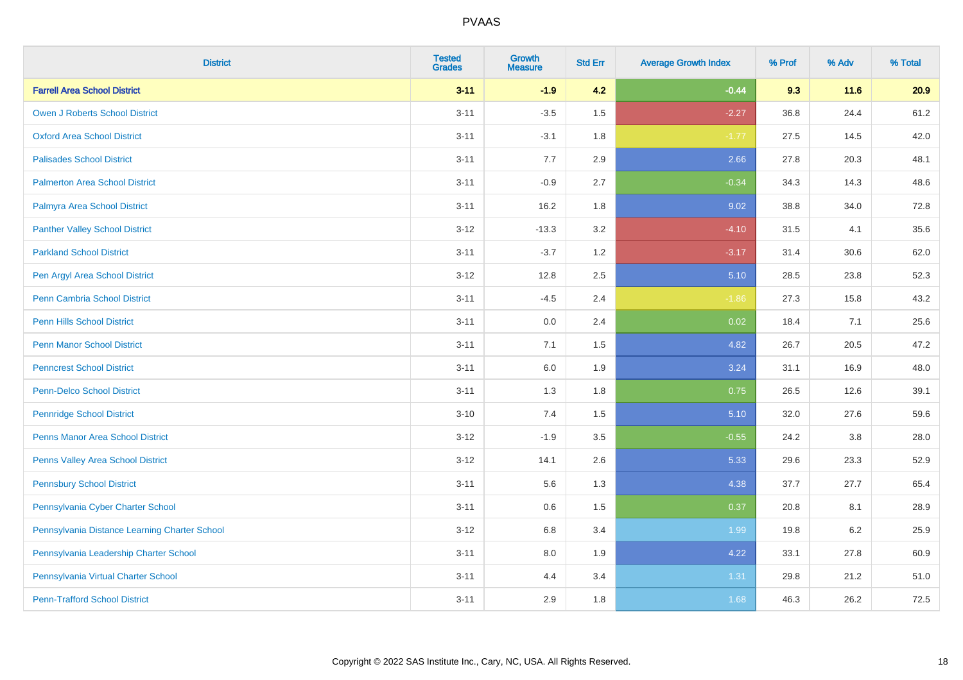| <b>District</b>                               | <b>Tested</b><br><b>Grades</b> | <b>Growth</b><br><b>Measure</b> | <b>Std Err</b> | <b>Average Growth Index</b> | % Prof | % Adv   | % Total |
|-----------------------------------------------|--------------------------------|---------------------------------|----------------|-----------------------------|--------|---------|---------|
| <b>Farrell Area School District</b>           | $3 - 11$                       | $-1.9$                          | 4.2            | $-0.44$                     | 9.3    | 11.6    | 20.9    |
| <b>Owen J Roberts School District</b>         | $3 - 11$                       | $-3.5$                          | 1.5            | $-2.27$                     | 36.8   | 24.4    | 61.2    |
| <b>Oxford Area School District</b>            | $3 - 11$                       | $-3.1$                          | 1.8            | $-1.77$                     | 27.5   | 14.5    | 42.0    |
| <b>Palisades School District</b>              | $3 - 11$                       | 7.7                             | 2.9            | 2.66                        | 27.8   | 20.3    | 48.1    |
| <b>Palmerton Area School District</b>         | $3 - 11$                       | $-0.9$                          | 2.7            | $-0.34$                     | 34.3   | 14.3    | 48.6    |
| Palmyra Area School District                  | $3 - 11$                       | 16.2                            | 1.8            | 9.02                        | 38.8   | 34.0    | 72.8    |
| <b>Panther Valley School District</b>         | $3 - 12$                       | $-13.3$                         | 3.2            | $-4.10$                     | 31.5   | 4.1     | 35.6    |
| <b>Parkland School District</b>               | $3 - 11$                       | $-3.7$                          | 1.2            | $-3.17$                     | 31.4   | 30.6    | 62.0    |
| Pen Argyl Area School District                | $3 - 12$                       | 12.8                            | 2.5            | 5.10                        | 28.5   | 23.8    | 52.3    |
| <b>Penn Cambria School District</b>           | $3 - 11$                       | $-4.5$                          | 2.4            | $-1.86$                     | 27.3   | 15.8    | 43.2    |
| <b>Penn Hills School District</b>             | $3 - 11$                       | 0.0                             | 2.4            | 0.02                        | 18.4   | 7.1     | 25.6    |
| <b>Penn Manor School District</b>             | $3 - 11$                       | 7.1                             | 1.5            | 4.82                        | 26.7   | 20.5    | 47.2    |
| <b>Penncrest School District</b>              | $3 - 11$                       | $6.0\,$                         | 1.9            | 3.24                        | 31.1   | 16.9    | 48.0    |
| <b>Penn-Delco School District</b>             | $3 - 11$                       | 1.3                             | 1.8            | 0.75                        | 26.5   | 12.6    | 39.1    |
| <b>Pennridge School District</b>              | $3 - 10$                       | 7.4                             | 1.5            | 5.10                        | 32.0   | 27.6    | 59.6    |
| <b>Penns Manor Area School District</b>       | $3 - 12$                       | $-1.9$                          | 3.5            | $-0.55$                     | 24.2   | $3.8\,$ | 28.0    |
| Penns Valley Area School District             | $3 - 12$                       | 14.1                            | 2.6            | 5.33                        | 29.6   | 23.3    | 52.9    |
| <b>Pennsbury School District</b>              | $3 - 11$                       | 5.6                             | 1.3            | 4.38                        | 37.7   | 27.7    | 65.4    |
| Pennsylvania Cyber Charter School             | $3 - 11$                       | 0.6                             | 1.5            | 0.37                        | 20.8   | 8.1     | 28.9    |
| Pennsylvania Distance Learning Charter School | $3-12$                         | 6.8                             | 3.4            | 1.99                        | 19.8   | 6.2     | 25.9    |
| Pennsylvania Leadership Charter School        | $3 - 11$                       | 8.0                             | 1.9            | 4.22                        | 33.1   | 27.8    | 60.9    |
| Pennsylvania Virtual Charter School           | $3 - 11$                       | 4.4                             | 3.4            | 1.31                        | 29.8   | 21.2    | 51.0    |
| <b>Penn-Trafford School District</b>          | $3 - 11$                       | 2.9                             | 1.8            | 1.68                        | 46.3   | 26.2    | 72.5    |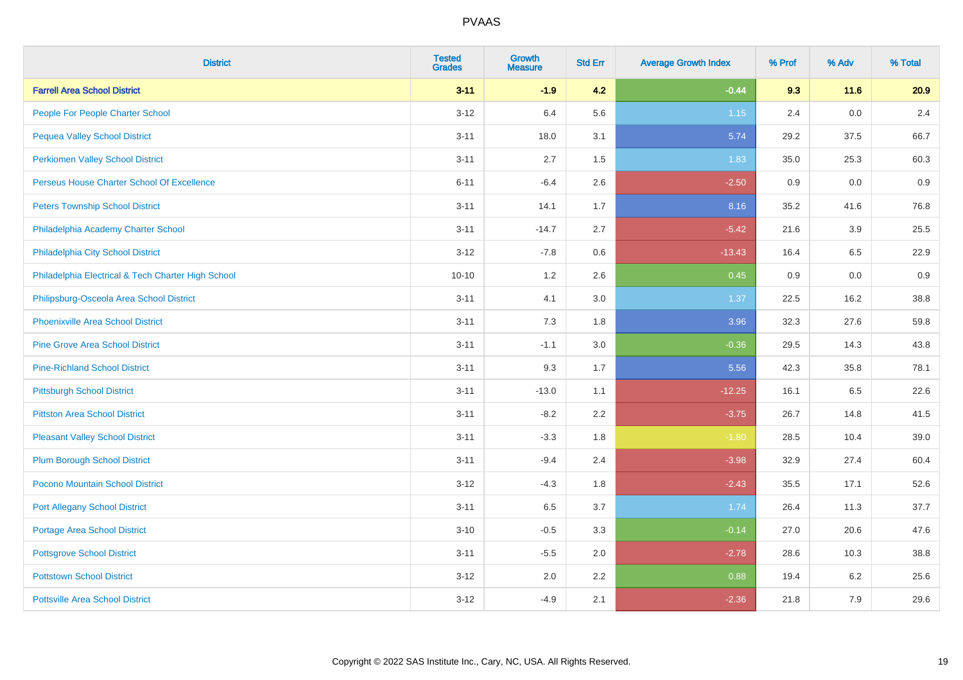| <b>District</b>                                    | <b>Tested</b><br><b>Grades</b> | <b>Growth</b><br><b>Measure</b> | <b>Std Err</b> | <b>Average Growth Index</b> | % Prof | % Adv | % Total |
|----------------------------------------------------|--------------------------------|---------------------------------|----------------|-----------------------------|--------|-------|---------|
| <b>Farrell Area School District</b>                | $3 - 11$                       | $-1.9$                          | 4.2            | $-0.44$                     | 9.3    | 11.6  | 20.9    |
| People For People Charter School                   | $3-12$                         | 6.4                             | 5.6            | $1.15$                      | 2.4    | 0.0   | 2.4     |
| <b>Pequea Valley School District</b>               | $3 - 11$                       | 18.0                            | 3.1            | 5.74                        | 29.2   | 37.5  | 66.7    |
| <b>Perkiomen Valley School District</b>            | $3 - 11$                       | 2.7                             | 1.5            | 1.83                        | 35.0   | 25.3  | 60.3    |
| Perseus House Charter School Of Excellence         | $6 - 11$                       | $-6.4$                          | 2.6            | $-2.50$                     | 0.9    | 0.0   | 0.9     |
| <b>Peters Township School District</b>             | $3 - 11$                       | 14.1                            | 1.7            | 8.16                        | 35.2   | 41.6  | 76.8    |
| Philadelphia Academy Charter School                | $3 - 11$                       | $-14.7$                         | 2.7            | $-5.42$                     | 21.6   | 3.9   | 25.5    |
| Philadelphia City School District                  | $3 - 12$                       | $-7.8$                          | 0.6            | $-13.43$                    | 16.4   | 6.5   | 22.9    |
| Philadelphia Electrical & Tech Charter High School | $10 - 10$                      | 1.2                             | 2.6            | 0.45                        | 0.9    | 0.0   | 0.9     |
| Philipsburg-Osceola Area School District           | $3 - 11$                       | 4.1                             | 3.0            | 1.37                        | 22.5   | 16.2  | 38.8    |
| <b>Phoenixville Area School District</b>           | $3 - 11$                       | 7.3                             | 1.8            | 3.96                        | 32.3   | 27.6  | 59.8    |
| <b>Pine Grove Area School District</b>             | $3 - 11$                       | $-1.1$                          | 3.0            | $-0.36$                     | 29.5   | 14.3  | 43.8    |
| <b>Pine-Richland School District</b>               | $3 - 11$                       | 9.3                             | 1.7            | 5.56                        | 42.3   | 35.8  | 78.1    |
| <b>Pittsburgh School District</b>                  | $3 - 11$                       | $-13.0$                         | 1.1            | $-12.25$                    | 16.1   | 6.5   | 22.6    |
| <b>Pittston Area School District</b>               | $3 - 11$                       | $-8.2$                          | 2.2            | $-3.75$                     | 26.7   | 14.8  | 41.5    |
| <b>Pleasant Valley School District</b>             | $3 - 11$                       | $-3.3$                          | 1.8            | $-1.80$                     | 28.5   | 10.4  | 39.0    |
| <b>Plum Borough School District</b>                | $3 - 11$                       | $-9.4$                          | 2.4            | $-3.98$                     | 32.9   | 27.4  | 60.4    |
| Pocono Mountain School District                    | $3 - 12$                       | $-4.3$                          | 1.8            | $-2.43$                     | 35.5   | 17.1  | 52.6    |
| <b>Port Allegany School District</b>               | $3 - 11$                       | 6.5                             | 3.7            | 1.74                        | 26.4   | 11.3  | 37.7    |
| <b>Portage Area School District</b>                | $3 - 10$                       | $-0.5$                          | 3.3            | $-0.14$                     | 27.0   | 20.6  | 47.6    |
| <b>Pottsgrove School District</b>                  | $3 - 11$                       | $-5.5$                          | 2.0            | $-2.78$                     | 28.6   | 10.3  | 38.8    |
| <b>Pottstown School District</b>                   | $3 - 12$                       | 2.0                             | 2.2            | 0.88                        | 19.4   | 6.2   | 25.6    |
| <b>Pottsville Area School District</b>             | $3 - 12$                       | $-4.9$                          | 2.1            | $-2.36$                     | 21.8   | 7.9   | 29.6    |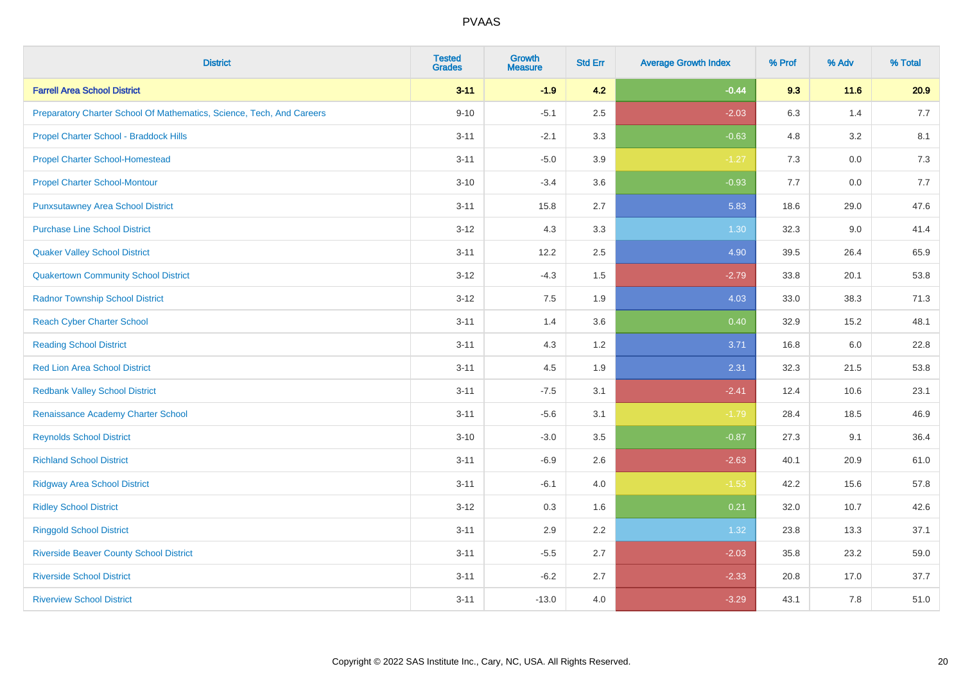| <b>District</b>                                                       | <b>Tested</b><br><b>Grades</b> | <b>Growth</b><br><b>Measure</b> | <b>Std Err</b> | <b>Average Growth Index</b> | % Prof | % Adv | % Total |
|-----------------------------------------------------------------------|--------------------------------|---------------------------------|----------------|-----------------------------|--------|-------|---------|
| <b>Farrell Area School District</b>                                   | $3 - 11$                       | $-1.9$                          | 4.2            | $-0.44$                     | 9.3    | 11.6  | 20.9    |
| Preparatory Charter School Of Mathematics, Science, Tech, And Careers | $9 - 10$                       | $-5.1$                          | 2.5            | $-2.03$                     | 6.3    | 1.4   | 7.7     |
| Propel Charter School - Braddock Hills                                | $3 - 11$                       | $-2.1$                          | 3.3            | $-0.63$                     | 4.8    | 3.2   | 8.1     |
| <b>Propel Charter School-Homestead</b>                                | $3 - 11$                       | $-5.0$                          | 3.9            | $-1.27$                     | 7.3    | 0.0   | 7.3     |
| <b>Propel Charter School-Montour</b>                                  | $3 - 10$                       | $-3.4$                          | 3.6            | $-0.93$                     | 7.7    | 0.0   | 7.7     |
| <b>Punxsutawney Area School District</b>                              | $3 - 11$                       | 15.8                            | 2.7            | 5.83                        | 18.6   | 29.0  | 47.6    |
| <b>Purchase Line School District</b>                                  | $3 - 12$                       | 4.3                             | 3.3            | 1.30                        | 32.3   | 9.0   | 41.4    |
| <b>Quaker Valley School District</b>                                  | $3 - 11$                       | 12.2                            | 2.5            | 4.90                        | 39.5   | 26.4  | 65.9    |
| <b>Quakertown Community School District</b>                           | $3 - 12$                       | $-4.3$                          | 1.5            | $-2.79$                     | 33.8   | 20.1  | 53.8    |
| <b>Radnor Township School District</b>                                | $3 - 12$                       | 7.5                             | 1.9            | 4.03                        | 33.0   | 38.3  | 71.3    |
| <b>Reach Cyber Charter School</b>                                     | $3 - 11$                       | 1.4                             | 3.6            | 0.40                        | 32.9   | 15.2  | 48.1    |
| <b>Reading School District</b>                                        | $3 - 11$                       | 4.3                             | 1.2            | 3.71                        | 16.8   | 6.0   | 22.8    |
| <b>Red Lion Area School District</b>                                  | $3 - 11$                       | 4.5                             | 1.9            | 2.31                        | 32.3   | 21.5  | 53.8    |
| <b>Redbank Valley School District</b>                                 | $3 - 11$                       | $-7.5$                          | 3.1            | $-2.41$                     | 12.4   | 10.6  | 23.1    |
| Renaissance Academy Charter School                                    | $3 - 11$                       | $-5.6$                          | 3.1            | $-1.79$                     | 28.4   | 18.5  | 46.9    |
| <b>Reynolds School District</b>                                       | $3 - 10$                       | $-3.0$                          | 3.5            | $-0.87$                     | 27.3   | 9.1   | 36.4    |
| <b>Richland School District</b>                                       | $3 - 11$                       | $-6.9$                          | 2.6            | $-2.63$                     | 40.1   | 20.9  | 61.0    |
| <b>Ridgway Area School District</b>                                   | $3 - 11$                       | $-6.1$                          | 4.0            | $-1.53$                     | 42.2   | 15.6  | 57.8    |
| <b>Ridley School District</b>                                         | $3 - 12$                       | 0.3                             | 1.6            | 0.21                        | 32.0   | 10.7  | 42.6    |
| <b>Ringgold School District</b>                                       | $3 - 11$                       | 2.9                             | 2.2            | 1.32                        | 23.8   | 13.3  | 37.1    |
| <b>Riverside Beaver County School District</b>                        | $3 - 11$                       | $-5.5$                          | 2.7            | $-2.03$                     | 35.8   | 23.2  | 59.0    |
| <b>Riverside School District</b>                                      | $3 - 11$                       | $-6.2$                          | 2.7            | $-2.33$                     | 20.8   | 17.0  | 37.7    |
| <b>Riverview School District</b>                                      | $3 - 11$                       | $-13.0$                         | 4.0            | $-3.29$                     | 43.1   | 7.8   | 51.0    |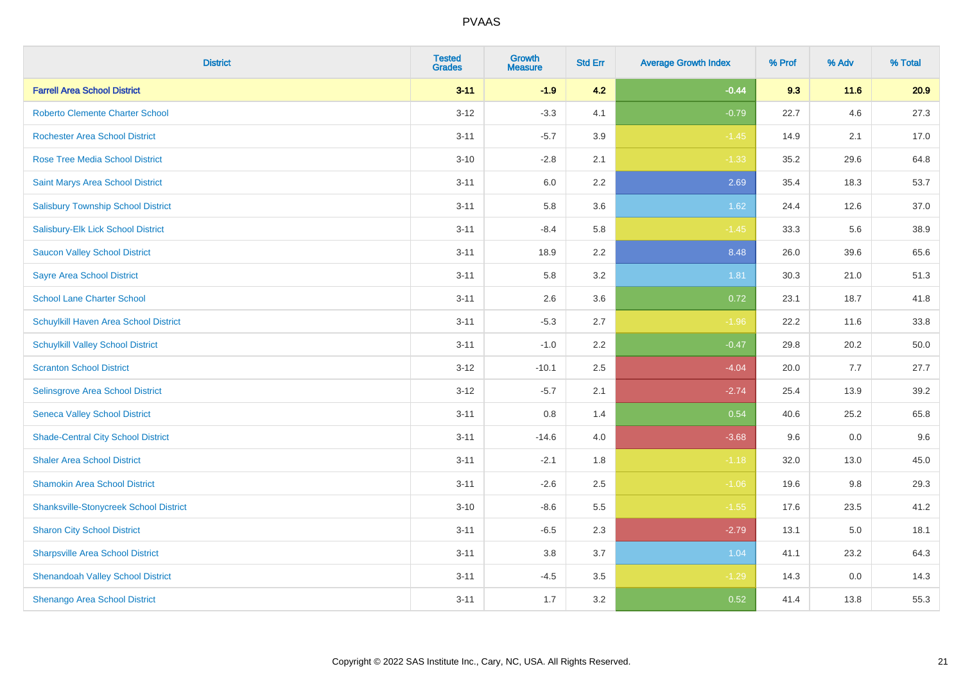| <b>District</b>                               | <b>Tested</b><br><b>Grades</b> | <b>Growth</b><br><b>Measure</b> | <b>Std Err</b> | <b>Average Growth Index</b> | % Prof | % Adv  | % Total |
|-----------------------------------------------|--------------------------------|---------------------------------|----------------|-----------------------------|--------|--------|---------|
| <b>Farrell Area School District</b>           | $3 - 11$                       | $-1.9$                          | 4.2            | $-0.44$                     | 9.3    | $11.6$ | 20.9    |
| <b>Roberto Clemente Charter School</b>        | $3 - 12$                       | $-3.3$                          | 4.1            | $-0.79$                     | 22.7   | 4.6    | 27.3    |
| <b>Rochester Area School District</b>         | $3 - 11$                       | $-5.7$                          | 3.9            | $-1.45$                     | 14.9   | 2.1    | 17.0    |
| <b>Rose Tree Media School District</b>        | $3 - 10$                       | $-2.8$                          | 2.1            | $-1.33$                     | 35.2   | 29.6   | 64.8    |
| Saint Marys Area School District              | $3 - 11$                       | 6.0                             | 2.2            | 2.69                        | 35.4   | 18.3   | 53.7    |
| <b>Salisbury Township School District</b>     | $3 - 11$                       | 5.8                             | 3.6            | 1.62                        | 24.4   | 12.6   | 37.0    |
| Salisbury-Elk Lick School District            | $3 - 11$                       | $-8.4$                          | 5.8            | $-1.45$                     | 33.3   | 5.6    | 38.9    |
| <b>Saucon Valley School District</b>          | $3 - 11$                       | 18.9                            | 2.2            | 8.48                        | 26.0   | 39.6   | 65.6    |
| <b>Sayre Area School District</b>             | $3 - 11$                       | 5.8                             | 3.2            | 1.81                        | 30.3   | 21.0   | 51.3    |
| <b>School Lane Charter School</b>             | $3 - 11$                       | 2.6                             | 3.6            | 0.72                        | 23.1   | 18.7   | 41.8    |
| Schuylkill Haven Area School District         | $3 - 11$                       | $-5.3$                          | 2.7            | $-1.96$                     | 22.2   | 11.6   | 33.8    |
| <b>Schuylkill Valley School District</b>      | $3 - 11$                       | $-1.0$                          | 2.2            | $-0.47$                     | 29.8   | 20.2   | 50.0    |
| <b>Scranton School District</b>               | $3 - 12$                       | $-10.1$                         | 2.5            | $-4.04$                     | 20.0   | 7.7    | 27.7    |
| Selinsgrove Area School District              | $3-12$                         | $-5.7$                          | 2.1            | $-2.74$                     | 25.4   | 13.9   | 39.2    |
| <b>Seneca Valley School District</b>          | $3 - 11$                       | 0.8                             | 1.4            | 0.54                        | 40.6   | 25.2   | 65.8    |
| <b>Shade-Central City School District</b>     | $3 - 11$                       | $-14.6$                         | 4.0            | $-3.68$                     | 9.6    | 0.0    | 9.6     |
| <b>Shaler Area School District</b>            | $3 - 11$                       | $-2.1$                          | 1.8            | $-1.18$                     | 32.0   | 13.0   | 45.0    |
| <b>Shamokin Area School District</b>          | $3 - 11$                       | $-2.6$                          | 2.5            | $-1.06$                     | 19.6   | 9.8    | 29.3    |
| <b>Shanksville-Stonycreek School District</b> | $3 - 10$                       | $-8.6$                          | 5.5            | $-1.55$                     | 17.6   | 23.5   | 41.2    |
| <b>Sharon City School District</b>            | $3 - 11$                       | $-6.5$                          | 2.3            | $-2.79$                     | 13.1   | 5.0    | 18.1    |
| <b>Sharpsville Area School District</b>       | $3 - 11$                       | 3.8                             | 3.7            | 1.04                        | 41.1   | 23.2   | 64.3    |
| <b>Shenandoah Valley School District</b>      | $3 - 11$                       | $-4.5$                          | 3.5            | $-1.29$                     | 14.3   | 0.0    | 14.3    |
| Shenango Area School District                 | $3 - 11$                       | 1.7                             | 3.2            | 0.52                        | 41.4   | 13.8   | 55.3    |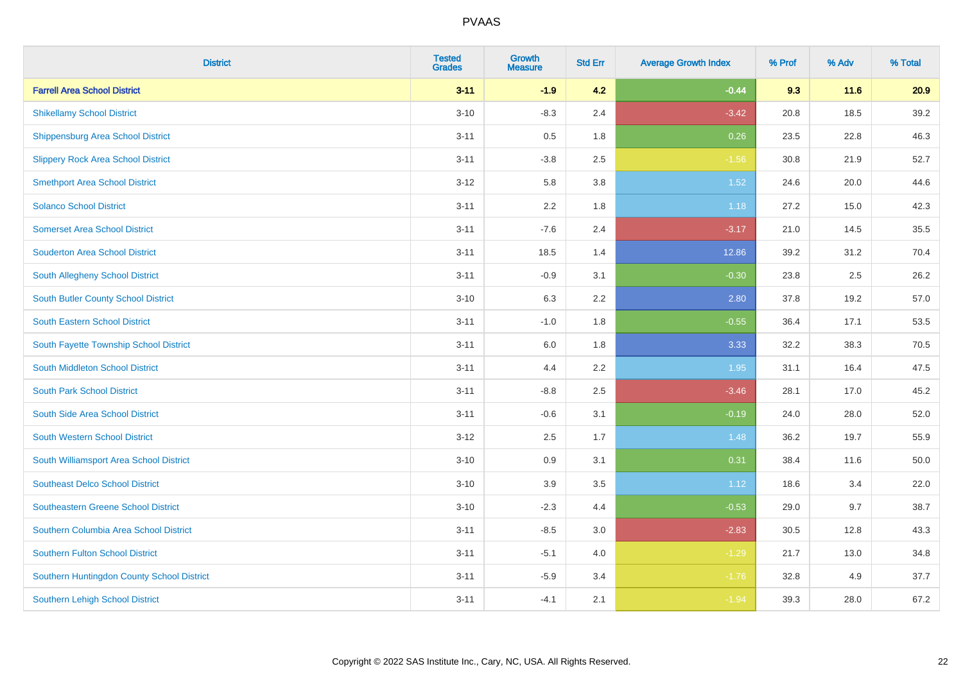| <b>District</b>                            | <b>Tested</b><br><b>Grades</b> | <b>Growth</b><br><b>Measure</b> | <b>Std Err</b> | <b>Average Growth Index</b> | % Prof | % Adv | % Total |
|--------------------------------------------|--------------------------------|---------------------------------|----------------|-----------------------------|--------|-------|---------|
| <b>Farrell Area School District</b>        | $3 - 11$                       | $-1.9$                          | 4.2            | $-0.44$                     | 9.3    | 11.6  | 20.9    |
| <b>Shikellamy School District</b>          | $3 - 10$                       | $-8.3$                          | 2.4            | $-3.42$                     | 20.8   | 18.5  | 39.2    |
| <b>Shippensburg Area School District</b>   | $3 - 11$                       | 0.5                             | 1.8            | 0.26                        | 23.5   | 22.8  | 46.3    |
| <b>Slippery Rock Area School District</b>  | $3 - 11$                       | $-3.8$                          | 2.5            | $-1.56$                     | 30.8   | 21.9  | 52.7    |
| <b>Smethport Area School District</b>      | $3 - 12$                       | 5.8                             | 3.8            | 1.52                        | 24.6   | 20.0  | 44.6    |
| <b>Solanco School District</b>             | $3 - 11$                       | 2.2                             | 1.8            | 1.18                        | 27.2   | 15.0  | 42.3    |
| <b>Somerset Area School District</b>       | $3 - 11$                       | $-7.6$                          | 2.4            | $-3.17$                     | 21.0   | 14.5  | 35.5    |
| <b>Souderton Area School District</b>      | $3 - 11$                       | 18.5                            | 1.4            | 12.86                       | 39.2   | 31.2  | 70.4    |
| South Allegheny School District            | $3 - 11$                       | $-0.9$                          | 3.1            | $-0.30$                     | 23.8   | 2.5   | 26.2    |
| South Butler County School District        | $3 - 10$                       | 6.3                             | 2.2            | 2.80                        | 37.8   | 19.2  | 57.0    |
| <b>South Eastern School District</b>       | $3 - 11$                       | $-1.0$                          | 1.8            | $-0.55$                     | 36.4   | 17.1  | 53.5    |
| South Fayette Township School District     | $3 - 11$                       | 6.0                             | 1.8            | 3.33                        | 32.2   | 38.3  | 70.5    |
| South Middleton School District            | $3 - 11$                       | 4.4                             | 2.2            | 1.95                        | 31.1   | 16.4  | 47.5    |
| <b>South Park School District</b>          | $3 - 11$                       | $-8.8$                          | 2.5            | $-3.46$                     | 28.1   | 17.0  | 45.2    |
| South Side Area School District            | $3 - 11$                       | $-0.6$                          | 3.1            | $-0.19$                     | 24.0   | 28.0  | 52.0    |
| <b>South Western School District</b>       | $3 - 12$                       | 2.5                             | 1.7            | 1.48                        | 36.2   | 19.7  | 55.9    |
| South Williamsport Area School District    | $3 - 10$                       | 0.9                             | 3.1            | 0.31                        | 38.4   | 11.6  | 50.0    |
| <b>Southeast Delco School District</b>     | $3 - 10$                       | 3.9                             | 3.5            | 1.12                        | 18.6   | 3.4   | 22.0    |
| <b>Southeastern Greene School District</b> | $3 - 10$                       | $-2.3$                          | 4.4            | $-0.53$                     | 29.0   | 9.7   | 38.7    |
| Southern Columbia Area School District     | $3 - 11$                       | $-8.5$                          | 3.0            | $-2.83$                     | 30.5   | 12.8  | 43.3    |
| <b>Southern Fulton School District</b>     | $3 - 11$                       | $-5.1$                          | 4.0            | $-1.29$                     | 21.7   | 13.0  | 34.8    |
| Southern Huntingdon County School District | $3 - 11$                       | $-5.9$                          | 3.4            | $-1.76$                     | 32.8   | 4.9   | 37.7    |
| <b>Southern Lehigh School District</b>     | $3 - 11$                       | $-4.1$                          | 2.1            | $-1.94$                     | 39.3   | 28.0  | 67.2    |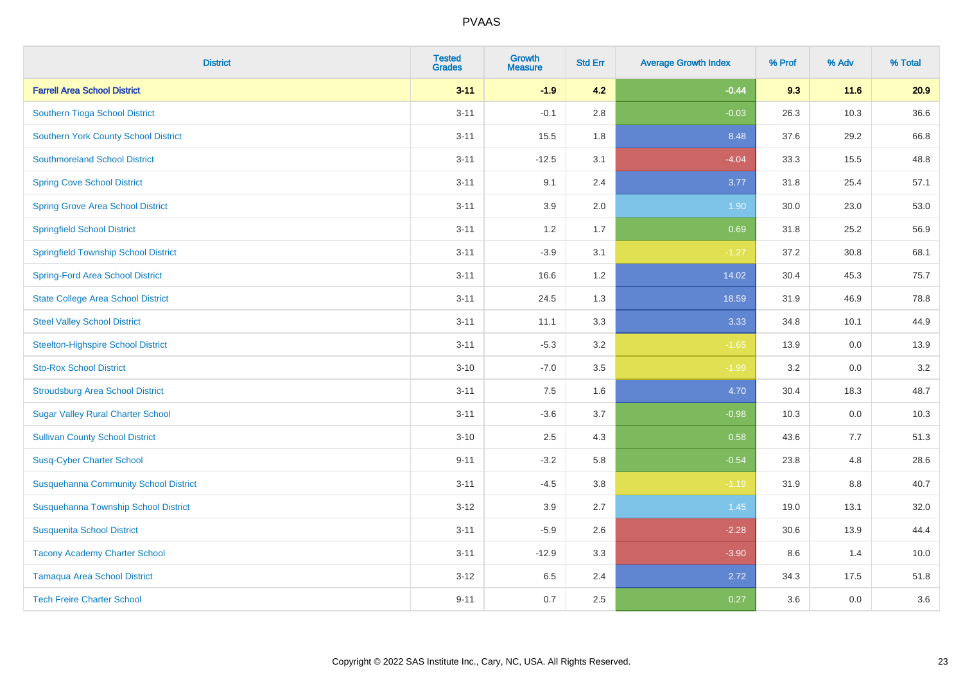| <b>District</b>                              | <b>Tested</b><br><b>Grades</b> | <b>Growth</b><br><b>Measure</b> | <b>Std Err</b> | <b>Average Growth Index</b> | % Prof | % Adv   | % Total |
|----------------------------------------------|--------------------------------|---------------------------------|----------------|-----------------------------|--------|---------|---------|
| <b>Farrell Area School District</b>          | $3 - 11$                       | $-1.9$                          | 4.2            | $-0.44$                     | 9.3    | 11.6    | 20.9    |
| Southern Tioga School District               | $3 - 11$                       | $-0.1$                          | 2.8            | $-0.03$                     | 26.3   | 10.3    | 36.6    |
| <b>Southern York County School District</b>  | $3 - 11$                       | 15.5                            | 1.8            | 8.48                        | 37.6   | 29.2    | 66.8    |
| <b>Southmoreland School District</b>         | $3 - 11$                       | $-12.5$                         | 3.1            | $-4.04$                     | 33.3   | 15.5    | 48.8    |
| <b>Spring Cove School District</b>           | $3 - 11$                       | 9.1                             | 2.4            | 3.77                        | 31.8   | 25.4    | 57.1    |
| <b>Spring Grove Area School District</b>     | $3 - 11$                       | 3.9                             | 2.0            | 1.90                        | 30.0   | 23.0    | 53.0    |
| <b>Springfield School District</b>           | $3 - 11$                       | 1.2                             | 1.7            | 0.69                        | 31.8   | 25.2    | 56.9    |
| <b>Springfield Township School District</b>  | $3 - 11$                       | $-3.9$                          | 3.1            | $-1.27$                     | 37.2   | 30.8    | 68.1    |
| <b>Spring-Ford Area School District</b>      | $3 - 11$                       | 16.6                            | 1.2            | 14.02                       | 30.4   | 45.3    | 75.7    |
| <b>State College Area School District</b>    | $3 - 11$                       | 24.5                            | 1.3            | 18.59                       | 31.9   | 46.9    | 78.8    |
| <b>Steel Valley School District</b>          | $3 - 11$                       | 11.1                            | 3.3            | 3.33                        | 34.8   | 10.1    | 44.9    |
| <b>Steelton-Highspire School District</b>    | $3 - 11$                       | $-5.3$                          | 3.2            | $-1.65$                     | 13.9   | 0.0     | 13.9    |
| <b>Sto-Rox School District</b>               | $3 - 10$                       | $-7.0$                          | 3.5            | $-1.99$                     | 3.2    | $0.0\,$ | 3.2     |
| <b>Stroudsburg Area School District</b>      | $3 - 11$                       | 7.5                             | 1.6            | 4.70                        | 30.4   | 18.3    | 48.7    |
| <b>Sugar Valley Rural Charter School</b>     | $3 - 11$                       | $-3.6$                          | 3.7            | $-0.98$                     | 10.3   | 0.0     | 10.3    |
| <b>Sullivan County School District</b>       | $3 - 10$                       | 2.5                             | 4.3            | 0.58                        | 43.6   | 7.7     | 51.3    |
| <b>Susq-Cyber Charter School</b>             | $9 - 11$                       | $-3.2$                          | 5.8            | $-0.54$                     | 23.8   | 4.8     | 28.6    |
| <b>Susquehanna Community School District</b> | $3 - 11$                       | $-4.5$                          | 3.8            | $-1.19$                     | 31.9   | 8.8     | 40.7    |
| Susquehanna Township School District         | $3 - 12$                       | 3.9                             | 2.7            | 1.45                        | 19.0   | 13.1    | 32.0    |
| <b>Susquenita School District</b>            | $3 - 11$                       | $-5.9$                          | 2.6            | $-2.28$                     | 30.6   | 13.9    | 44.4    |
| <b>Tacony Academy Charter School</b>         | $3 - 11$                       | $-12.9$                         | 3.3            | $-3.90$                     | 8.6    | 1.4     | 10.0    |
| <b>Tamaqua Area School District</b>          | $3 - 12$                       | 6.5                             | 2.4            | 2.72                        | 34.3   | 17.5    | 51.8    |
| <b>Tech Freire Charter School</b>            | $9 - 11$                       | 0.7                             | 2.5            | 0.27                        | 3.6    | 0.0     | 3.6     |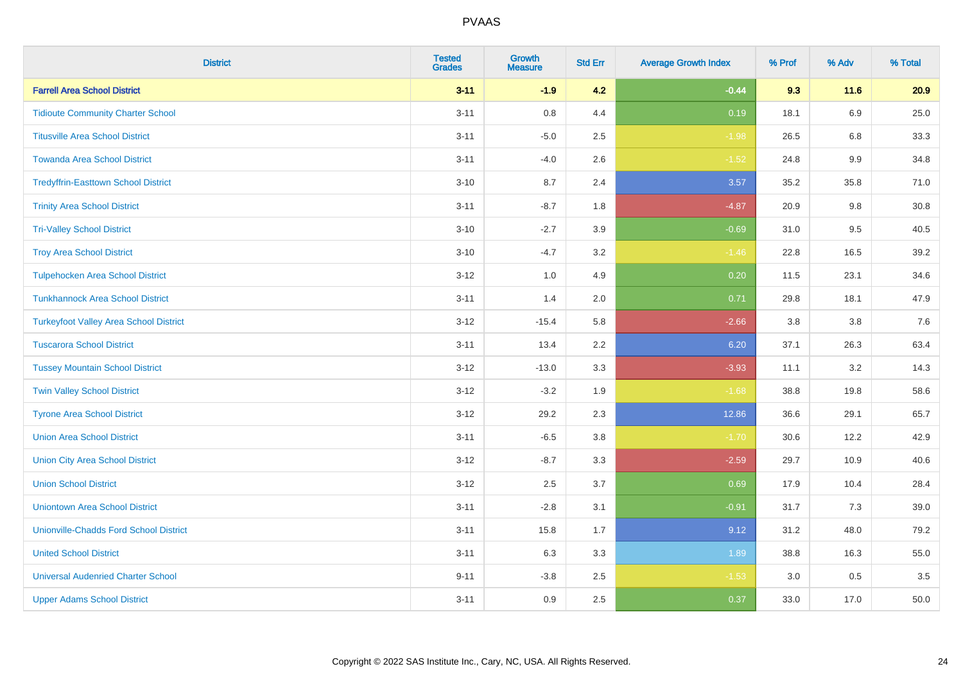| <b>District</b>                               | <b>Tested</b><br><b>Grades</b> | Growth<br><b>Measure</b> | <b>Std Err</b> | <b>Average Growth Index</b> | % Prof | % Adv   | % Total |
|-----------------------------------------------|--------------------------------|--------------------------|----------------|-----------------------------|--------|---------|---------|
| <b>Farrell Area School District</b>           | $3 - 11$                       | $-1.9$                   | 4.2            | $-0.44$                     | 9.3    | 11.6    | 20.9    |
| <b>Tidioute Community Charter School</b>      | $3 - 11$                       | 0.8                      | 4.4            | 0.19                        | 18.1   | 6.9     | 25.0    |
| <b>Titusville Area School District</b>        | $3 - 11$                       | $-5.0$                   | 2.5            | $-1.98$                     | 26.5   | 6.8     | 33.3    |
| <b>Towanda Area School District</b>           | $3 - 11$                       | $-4.0$                   | 2.6            | $-1.52$                     | 24.8   | $9.9\,$ | 34.8    |
| <b>Tredyffrin-Easttown School District</b>    | $3 - 10$                       | 8.7                      | 2.4            | 3.57                        | 35.2   | 35.8    | 71.0    |
| <b>Trinity Area School District</b>           | $3 - 11$                       | $-8.7$                   | 1.8            | $-4.87$                     | 20.9   | 9.8     | 30.8    |
| <b>Tri-Valley School District</b>             | $3 - 10$                       | $-2.7$                   | 3.9            | $-0.69$                     | 31.0   | 9.5     | 40.5    |
| <b>Troy Area School District</b>              | $3 - 10$                       | $-4.7$                   | 3.2            | $-1.46$                     | 22.8   | 16.5    | 39.2    |
| <b>Tulpehocken Area School District</b>       | $3 - 12$                       | 1.0                      | 4.9            | 0.20                        | 11.5   | 23.1    | 34.6    |
| <b>Tunkhannock Area School District</b>       | $3 - 11$                       | 1.4                      | 2.0            | 0.71                        | 29.8   | 18.1    | 47.9    |
| <b>Turkeyfoot Valley Area School District</b> | $3-12$                         | $-15.4$                  | 5.8            | $-2.66$                     | 3.8    | 3.8     | 7.6     |
| <b>Tuscarora School District</b>              | $3 - 11$                       | 13.4                     | 2.2            | 6.20                        | 37.1   | 26.3    | 63.4    |
| <b>Tussey Mountain School District</b>        | $3 - 12$                       | $-13.0$                  | 3.3            | $-3.93$                     | 11.1   | $3.2\,$ | 14.3    |
| <b>Twin Valley School District</b>            | $3 - 12$                       | $-3.2$                   | 1.9            | $-1.68$                     | 38.8   | 19.8    | 58.6    |
| <b>Tyrone Area School District</b>            | $3 - 12$                       | 29.2                     | 2.3            | 12.86                       | 36.6   | 29.1    | 65.7    |
| <b>Union Area School District</b>             | $3 - 11$                       | $-6.5$                   | 3.8            | $-1.70$                     | 30.6   | 12.2    | 42.9    |
| <b>Union City Area School District</b>        | $3 - 12$                       | $-8.7$                   | 3.3            | $-2.59$                     | 29.7   | 10.9    | 40.6    |
| <b>Union School District</b>                  | $3-12$                         | 2.5                      | 3.7            | 0.69                        | 17.9   | 10.4    | 28.4    |
| <b>Uniontown Area School District</b>         | $3 - 11$                       | $-2.8$                   | 3.1            | $-0.91$                     | 31.7   | 7.3     | 39.0    |
| <b>Unionville-Chadds Ford School District</b> | $3 - 11$                       | 15.8                     | 1.7            | 9.12                        | 31.2   | 48.0    | 79.2    |
| <b>United School District</b>                 | $3 - 11$                       | 6.3                      | 3.3            | 1.89                        | 38.8   | 16.3    | 55.0    |
| <b>Universal Audenried Charter School</b>     | $9 - 11$                       | $-3.8$                   | 2.5            | $-1.53$                     | 3.0    | 0.5     | 3.5     |
| <b>Upper Adams School District</b>            | $3 - 11$                       | 0.9                      | 2.5            | 0.37                        | 33.0   | 17.0    | 50.0    |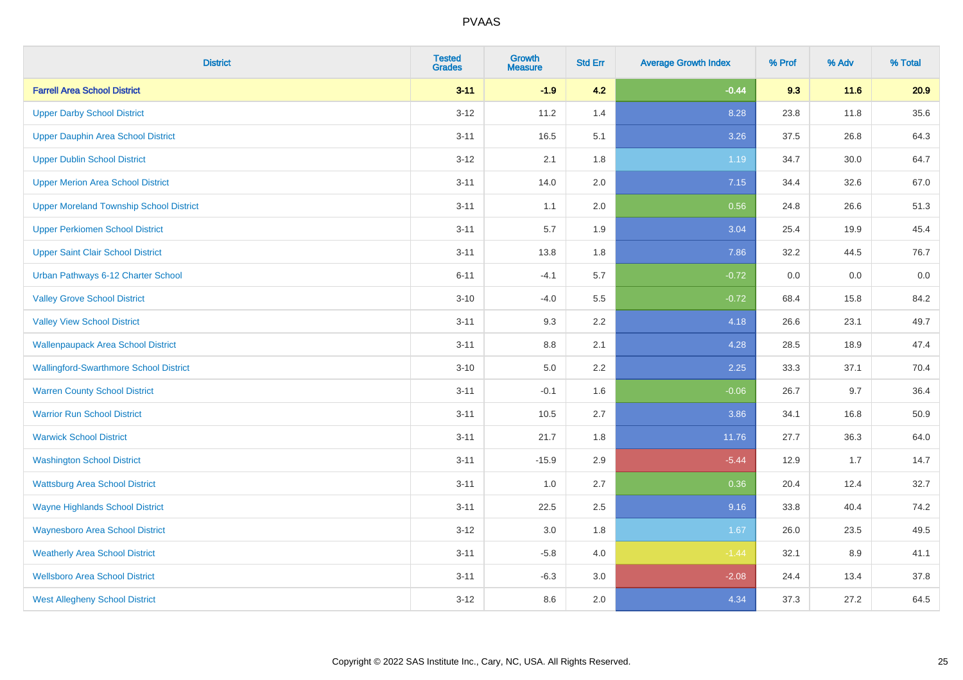| <b>District</b>                                | <b>Tested</b><br><b>Grades</b> | Growth<br><b>Measure</b> | <b>Std Err</b> | <b>Average Growth Index</b> | % Prof | % Adv | % Total |
|------------------------------------------------|--------------------------------|--------------------------|----------------|-----------------------------|--------|-------|---------|
| <b>Farrell Area School District</b>            | $3 - 11$                       | $-1.9$                   | 4.2            | $-0.44$                     | 9.3    | 11.6  | 20.9    |
| <b>Upper Darby School District</b>             | $3 - 12$                       | 11.2                     | 1.4            | 8.28                        | 23.8   | 11.8  | 35.6    |
| <b>Upper Dauphin Area School District</b>      | $3 - 11$                       | 16.5                     | 5.1            | 3.26                        | 37.5   | 26.8  | 64.3    |
| <b>Upper Dublin School District</b>            | $3 - 12$                       | 2.1                      | 1.8            | 1.19                        | 34.7   | 30.0  | 64.7    |
| <b>Upper Merion Area School District</b>       | $3 - 11$                       | 14.0                     | 2.0            | 7.15                        | 34.4   | 32.6  | 67.0    |
| <b>Upper Moreland Township School District</b> | $3 - 11$                       | 1.1                      | 2.0            | 0.56                        | 24.8   | 26.6  | 51.3    |
| <b>Upper Perkiomen School District</b>         | $3 - 11$                       | 5.7                      | 1.9            | 3.04                        | 25.4   | 19.9  | 45.4    |
| <b>Upper Saint Clair School District</b>       | $3 - 11$                       | 13.8                     | 1.8            | 7.86                        | 32.2   | 44.5  | 76.7    |
| Urban Pathways 6-12 Charter School             | $6 - 11$                       | $-4.1$                   | 5.7            | $-0.72$                     | 0.0    | 0.0   | $0.0\,$ |
| <b>Valley Grove School District</b>            | $3 - 10$                       | $-4.0$                   | 5.5            | $-0.72$                     | 68.4   | 15.8  | 84.2    |
| <b>Valley View School District</b>             | $3 - 11$                       | 9.3                      | 2.2            | 4.18                        | 26.6   | 23.1  | 49.7    |
| <b>Wallenpaupack Area School District</b>      | $3 - 11$                       | 8.8                      | 2.1            | 4.28                        | 28.5   | 18.9  | 47.4    |
| <b>Wallingford-Swarthmore School District</b>  | $3 - 10$                       | 5.0                      | $2.2\,$        | 2.25                        | 33.3   | 37.1  | 70.4    |
| <b>Warren County School District</b>           | $3 - 11$                       | $-0.1$                   | 1.6            | $-0.06$                     | 26.7   | 9.7   | 36.4    |
| <b>Warrior Run School District</b>             | $3 - 11$                       | 10.5                     | 2.7            | 3.86                        | 34.1   | 16.8  | 50.9    |
| <b>Warwick School District</b>                 | $3 - 11$                       | 21.7                     | 1.8            | 11.76                       | 27.7   | 36.3  | 64.0    |
| <b>Washington School District</b>              | $3 - 11$                       | $-15.9$                  | 2.9            | $-5.44$                     | 12.9   | 1.7   | 14.7    |
| <b>Wattsburg Area School District</b>          | $3 - 11$                       | 1.0                      | 2.7            | 0.36                        | 20.4   | 12.4  | 32.7    |
| <b>Wayne Highlands School District</b>         | $3 - 11$                       | 22.5                     | 2.5            | 9.16                        | 33.8   | 40.4  | 74.2    |
| <b>Waynesboro Area School District</b>         | $3 - 12$                       | $3.0\,$                  | 1.8            | 1.67                        | 26.0   | 23.5  | 49.5    |
| <b>Weatherly Area School District</b>          | $3 - 11$                       | $-5.8$                   | 4.0            | $-1.44$                     | 32.1   | 8.9   | 41.1    |
| <b>Wellsboro Area School District</b>          | $3 - 11$                       | $-6.3$                   | 3.0            | $-2.08$                     | 24.4   | 13.4  | 37.8    |
| <b>West Allegheny School District</b>          | $3 - 12$                       | 8.6                      | 2.0            | 4.34                        | 37.3   | 27.2  | 64.5    |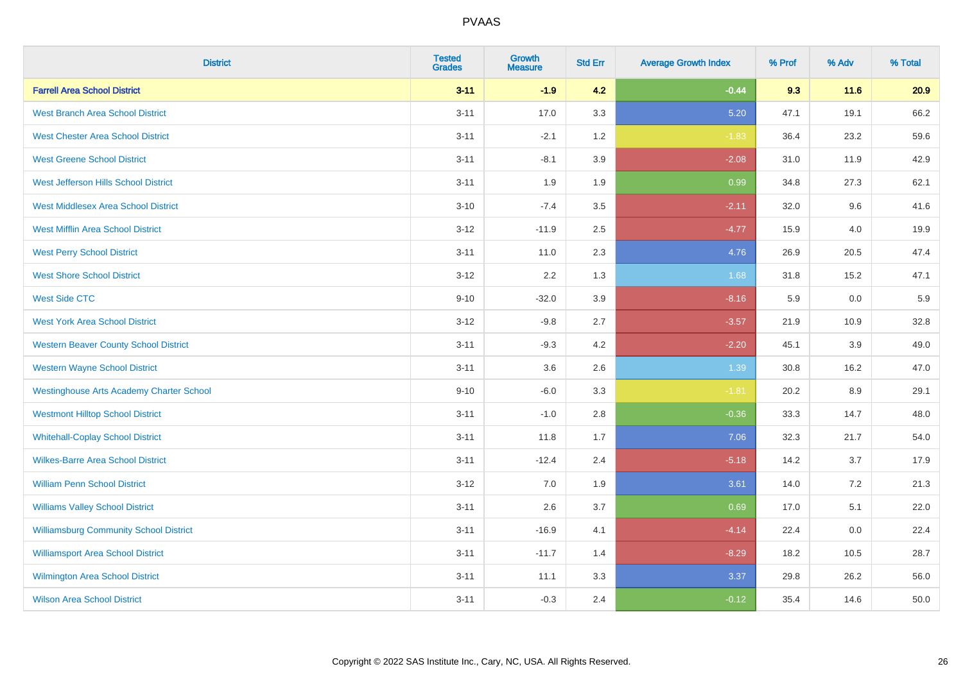| <b>District</b>                                 | <b>Tested</b><br><b>Grades</b> | <b>Growth</b><br><b>Measure</b> | <b>Std Err</b> | <b>Average Growth Index</b> | % Prof | % Adv | % Total |
|-------------------------------------------------|--------------------------------|---------------------------------|----------------|-----------------------------|--------|-------|---------|
| <b>Farrell Area School District</b>             | $3 - 11$                       | $-1.9$                          | 4.2            | $-0.44$                     | 9.3    | 11.6  | 20.9    |
| <b>West Branch Area School District</b>         | $3 - 11$                       | 17.0                            | 3.3            | 5.20                        | 47.1   | 19.1  | 66.2    |
| <b>West Chester Area School District</b>        | $3 - 11$                       | $-2.1$                          | 1.2            | $-1.83$                     | 36.4   | 23.2  | 59.6    |
| <b>West Greene School District</b>              | $3 - 11$                       | $-8.1$                          | 3.9            | $-2.08$                     | 31.0   | 11.9  | 42.9    |
| West Jefferson Hills School District            | $3 - 11$                       | 1.9                             | 1.9            | 0.99                        | 34.8   | 27.3  | 62.1    |
| <b>West Middlesex Area School District</b>      | $3 - 10$                       | $-7.4$                          | 3.5            | $-2.11$                     | 32.0   | 9.6   | 41.6    |
| <b>West Mifflin Area School District</b>        | $3 - 12$                       | $-11.9$                         | 2.5            | $-4.77$                     | 15.9   | 4.0   | 19.9    |
| <b>West Perry School District</b>               | $3 - 11$                       | 11.0                            | 2.3            | 4.76                        | 26.9   | 20.5  | 47.4    |
| <b>West Shore School District</b>               | $3 - 12$                       | 2.2                             | 1.3            | 1.68                        | 31.8   | 15.2  | 47.1    |
| <b>West Side CTC</b>                            | $9 - 10$                       | $-32.0$                         | 3.9            | $-8.16$                     | 5.9    | 0.0   | 5.9     |
| <b>West York Area School District</b>           | $3 - 12$                       | $-9.8$                          | 2.7            | $-3.57$                     | 21.9   | 10.9  | 32.8    |
| <b>Western Beaver County School District</b>    | $3 - 11$                       | $-9.3$                          | 4.2            | $-2.20$                     | 45.1   | 3.9   | 49.0    |
| <b>Western Wayne School District</b>            | $3 - 11$                       | 3.6                             | 2.6            | 1.39                        | 30.8   | 16.2  | 47.0    |
| <b>Westinghouse Arts Academy Charter School</b> | $9 - 10$                       | $-6.0$                          | 3.3            | $-1.81$                     | 20.2   | 8.9   | 29.1    |
| <b>Westmont Hilltop School District</b>         | $3 - 11$                       | $-1.0$                          | 2.8            | $-0.36$                     | 33.3   | 14.7  | 48.0    |
| <b>Whitehall-Coplay School District</b>         | $3 - 11$                       | 11.8                            | 1.7            | 7.06                        | 32.3   | 21.7  | 54.0    |
| <b>Wilkes-Barre Area School District</b>        | $3 - 11$                       | $-12.4$                         | 2.4            | $-5.18$                     | 14.2   | 3.7   | 17.9    |
| <b>William Penn School District</b>             | $3 - 12$                       | 7.0                             | 1.9            | 3.61                        | 14.0   | 7.2   | 21.3    |
| <b>Williams Valley School District</b>          | $3 - 11$                       | 2.6                             | 3.7            | 0.69                        | 17.0   | 5.1   | 22.0    |
| <b>Williamsburg Community School District</b>   | $3 - 11$                       | $-16.9$                         | 4.1            | $-4.14$                     | 22.4   | 0.0   | 22.4    |
| <b>Williamsport Area School District</b>        | $3 - 11$                       | $-11.7$                         | 1.4            | $-8.29$                     | 18.2   | 10.5  | 28.7    |
| Wilmington Area School District                 | $3 - 11$                       | 11.1                            | 3.3            | 3.37                        | 29.8   | 26.2  | 56.0    |
| <b>Wilson Area School District</b>              | $3 - 11$                       | $-0.3$                          | 2.4            | $-0.12$                     | 35.4   | 14.6  | 50.0    |